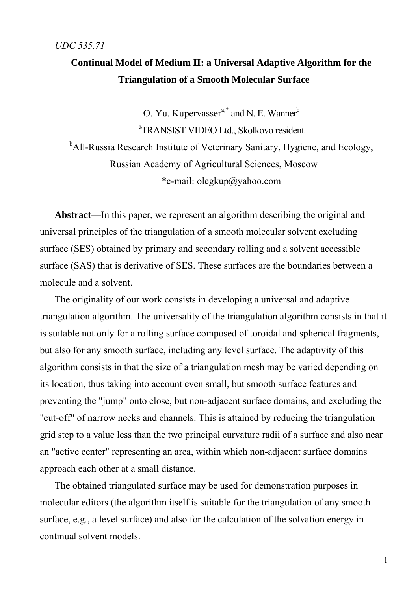### **Continual Model of Medium II: a Universal Adaptive Algorithm for the Triangulation of a Smooth Molecular Surface**

O. Yu. Kupervasser<sup>a,\*</sup> and N. E. Wanner<sup>b</sup> a TRANSIST VIDEO Ltd., Skolkovo resident <sup>b</sup>All-Russia Research Institute of Veterinary Sanitary, Hygiene, and Ecology, Russian Academy of Agricultural Sciences, Moscow \*e-mail: olegkup@yahoo.com

**Abstract**—In this paper, we represent an algorithm describing the original and universal principles of the triangulation of a smooth molecular solvent excluding surface (SES) obtained by primary and secondary rolling and a solvent accessible surface (SAS) that is derivative of SES. These surfaces are the boundaries between a molecule and a solvent.

The originality of our work consists in developing a universal and adaptive triangulation algorithm. The universality of the triangulation algorithm consists in that it is suitable not only for a rolling surface composed of toroidal and spherical fragments, but also for any smooth surface, including any level surface. The adaptivity of this algorithm consists in that the size of a triangulation mesh may be varied depending on its location, thus taking into account even small, but smooth surface features and preventing the "jump" onto close, but non-adjacent surface domains, and excluding the "cut-off" of narrow necks and channels. This is attained by reducing the triangulation grid step to a value less than the two principal curvature radii of a surface and also near an "active center" representing an area, within which non-adjacent surface domains approach each other at a small distance.

The obtained triangulated surface may be used for demonstration purposes in molecular editors (the algorithm itself is suitable for the triangulation of any smooth surface, e.g., a level surface) and also for the calculation of the solvation energy in continual solvent models.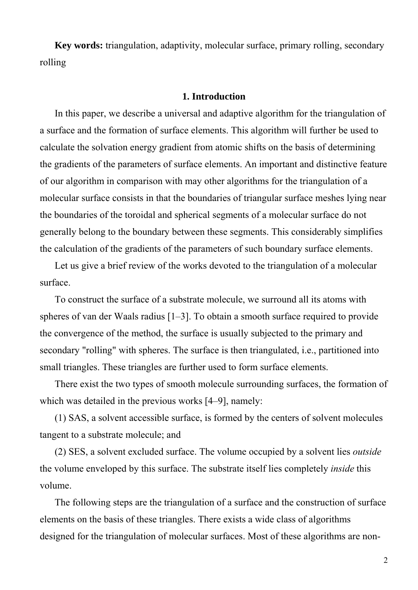**Key words:** triangulation, adaptivity, molecular surface, primary rolling, secondary rolling

#### **1. Introduction**

In this paper, we describe a universal and adaptive algorithm for the triangulation of a surface and the formation of surface elements. This algorithm will further be used to calculate the solvation energy gradient from atomic shifts on the basis of determining the gradients of the parameters of surface elements. An important and distinctive feature of our algorithm in comparison with may other algorithms for the triangulation of a molecular surface consists in that the boundaries of triangular surface meshes lying near the boundaries of the toroidal and spherical segments of a molecular surface do not generally belong to the boundary between these segments. This considerably simplifies the calculation of the gradients of the parameters of such boundary surface elements.

Let us give a brief review of the works devoted to the triangulation of a molecular surface.

To construct the surface of a substrate molecule, we surround all its atoms with spheres of van der Waals radius [1–3]. To obtain a smooth surface required to provide the convergence of the method, the surface is usually subjected to the primary and secondary "rolling" with spheres. The surface is then triangulated, i.e., partitioned into small triangles. These triangles are further used to form surface elements.

There exist the two types of smooth molecule surrounding surfaces, the formation of which was detailed in the previous works [4–9], namely:

(1) SAS, a solvent accessible surface, is formed by the centers of solvent molecules tangent to a substrate molecule; and

(2) SES, a solvent excluded surface. The volume occupied by a solvent lies *outside* the volume enveloped by this surface. The substrate itself lies completely *inside* this volume.

The following steps are the triangulation of a surface and the construction of surface elements on the basis of these triangles. There exists a wide class of algorithms designed for the triangulation of molecular surfaces. Most of these algorithms are non-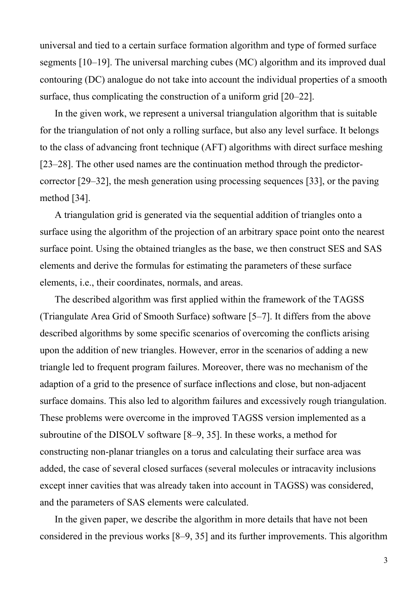universal and tied to a certain surface formation algorithm and type of formed surface segments [10–19]. The universal marching cubes (MC) algorithm and its improved dual contouring (DC) analogue do not take into account the individual properties of a smooth surface, thus complicating the construction of a uniform grid [20–22].

In the given work, we represent a universal triangulation algorithm that is suitable for the triangulation of not only a rolling surface, but also any level surface. It belongs to the class of advancing front technique (AFT) algorithms with direct surface meshing [23–28]. The other used names are the continuation method through the predictorcorrector [29–32], the mesh generation using processing sequences [33], or the paving method [34].

A triangulation grid is generated via the sequential addition of triangles onto a surface using the algorithm of the projection of an arbitrary space point onto the nearest surface point. Using the obtained triangles as the base, we then construct SES and SAS elements and derive the formulas for estimating the parameters of these surface elements, i.e., their coordinates, normals, and areas.

The described algorithm was first applied within the framework of the TAGSS (Triangulate Area Grid of Smooth Surface) software [5–7]. It differs from the above described algorithms by some specific scenarios of overcoming the conflicts arising upon the addition of new triangles. However, error in the scenarios of adding a new triangle led to frequent program failures. Moreover, there was no mechanism of the adaption of a grid to the presence of surface inflections and close, but non-adjacent surface domains. This also led to algorithm failures and excessively rough triangulation. These problems were overcome in the improved TAGSS version implemented as a subroutine of the DISOLV software [8–9, 35]. In these works, a method for constructing non-planar triangles on a torus and calculating their surface area was added, the case of several closed surfaces (several molecules or intracavity inclusions except inner cavities that was already taken into account in TAGSS) was considered, and the parameters of SAS elements were calculated.

In the given paper, we describe the algorithm in more details that have not been considered in the previous works [8–9, 35] and its further improvements. This algorithm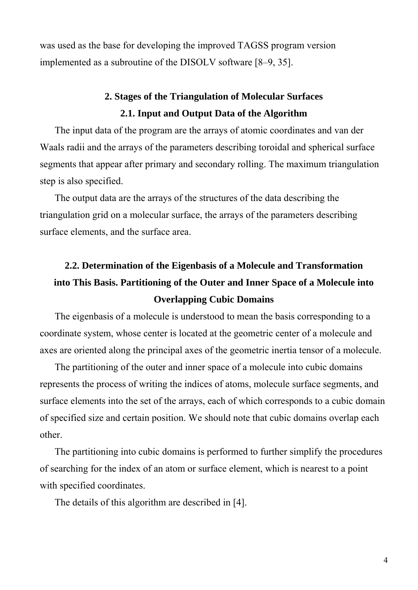was used as the base for developing the improved TAGSS program version implemented as a subroutine of the DISOLV software [8–9, 35].

## **2. Stages of the Triangulation of Molecular Surfaces 2.1. Input and Output Data of the Algorithm**

The input data of the program are the arrays of atomic coordinates and van der Waals radii and the arrays of the parameters describing toroidal and spherical surface segments that appear after primary and secondary rolling. The maximum triangulation step is also specified.

The output data are the arrays of the structures of the data describing the triangulation grid on a molecular surface, the arrays of the parameters describing surface elements, and the surface area.

# **2.2. Determination of the Eigenbasis of a Molecule and Transformation into This Basis. Partitioning of the Outer and Inner Space of a Molecule into Overlapping Cubic Domains**

The eigenbasis of a molecule is understood to mean the basis corresponding to a coordinate system, whose center is located at the geometric center of a molecule and axes are oriented along the principal axes of the geometric inertia tensor of a molecule.

The partitioning of the outer and inner space of a molecule into cubic domains represents the process of writing the indices of atoms, molecule surface segments, and surface elements into the set of the arrays, each of which corresponds to a cubic domain of specified size and certain position. We should note that cubic domains overlap each other.

The partitioning into cubic domains is performed to further simplify the procedures of searching for the index of an atom or surface element, which is nearest to a point with specified coordinates.

The details of this algorithm are described in [4].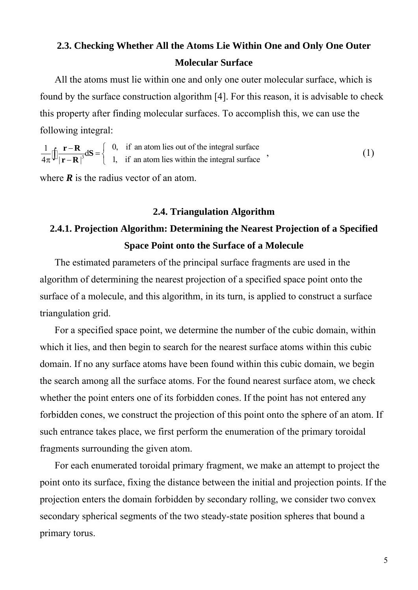### **2.3. Checking Whether All the Atoms Lie Within One and Only One Outer Molecular Surface**

All the atoms must lie within one and only one outer molecular surface, which is found by the surface construction algorithm [4]. For this reason, it is advisable to check this property after finding molecular surfaces. To accomplish this, we can use the following integral:

 $\frac{1}{2}\int_{\mathbf{R}} \mathbf{r} - \mathbf{R} d\mathbf{S} = \begin{cases} 0, & \text{if an atom lies out of the integral surface} \\ 1, & \text{if an atom lies within the integral surface} \end{cases}$  $\frac{1}{4\pi} \left[ \int \frac{\mathbf{r} - \mathbf{R}}{|\mathbf{r} - \mathbf{R}|^3} d\mathbf{S} \right] = \begin{cases} 0, & \text{if an atom lies out of the integral surface} \\ 1, & \text{if an atom lies within the integral surface} \end{cases}$  (1)

where  $\vec{R}$  is the radius vector of an atom.

#### **2.4. Triangulation Algorithm**

# **2.4.1. Projection Algorithm: Determining the Nearest Projection of a Specified Space Point onto the Surface of a Molecule**

The estimated parameters of the principal surface fragments are used in the algorithm of determining the nearest projection of a specified space point onto the surface of a molecule, and this algorithm, in its turn, is applied to construct a surface triangulation grid.

For a specified space point, we determine the number of the cubic domain, within which it lies, and then begin to search for the nearest surface atoms within this cubic domain. If no any surface atoms have been found within this cubic domain, we begin the search among all the surface atoms. For the found nearest surface atom, we check whether the point enters one of its forbidden cones. If the point has not entered any forbidden cones, we construct the projection of this point onto the sphere of an atom. If such entrance takes place, we first perform the enumeration of the primary toroidal fragments surrounding the given atom.

For each enumerated toroidal primary fragment, we make an attempt to project the point onto its surface, fixing the distance between the initial and projection points. If the projection enters the domain forbidden by secondary rolling, we consider two convex secondary spherical segments of the two steady-state position spheres that bound a primary torus.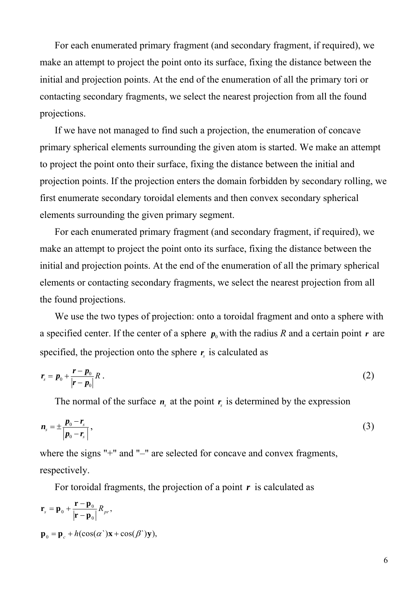For each enumerated primary fragment (and secondary fragment, if required), we make an attempt to project the point onto its surface, fixing the distance between the initial and projection points. At the end of the enumeration of all the primary tori or contacting secondary fragments, we select the nearest projection from all the found projections.

If we have not managed to find such a projection, the enumeration of concave primary spherical elements surrounding the given atom is started. We make an attempt to project the point onto their surface, fixing the distance between the initial and projection points. If the projection enters the domain forbidden by secondary rolling, we first enumerate secondary toroidal elements and then convex secondary spherical elements surrounding the given primary segment.

For each enumerated primary fragment (and secondary fragment, if required), we make an attempt to project the point onto its surface, fixing the distance between the initial and projection points. At the end of the enumeration of all the primary spherical elements or contacting secondary fragments, we select the nearest projection from all the found projections.

We use the two types of projection: onto a toroidal fragment and onto a sphere with a specified center. If the center of a sphere  $p_0$  with the radius *R* and a certain point *r* are specified, the projection onto the sphere  $r<sub>s</sub>$  is calculated as

$$
r_s = p_0 + \frac{r - p_0}{|r - p_0|} R \ . \tag{2}
$$

The normal of the surface  $n<sub>s</sub>$  at the point  $r<sub>s</sub>$  is determined by the expression

$$
n_s = \pm \frac{p_0 - r_s}{|p_0 - r_s|},\tag{3}
$$

where the signs "+" and "–" are selected for concave and convex fragments, respectively.

For toroidal fragments, the projection of a point *r* is calculated as

$$
\mathbf{r}_s = \mathbf{p}_0 + \frac{\mathbf{r} - \mathbf{p}_0}{|\mathbf{r} - \mathbf{p}_0|} R_{pr},
$$
  

$$
\mathbf{p}_0 = \mathbf{p}_c + h(\cos(\alpha^{\cdot})\mathbf{x} + \cos(\beta^{\cdot})\mathbf{y}),
$$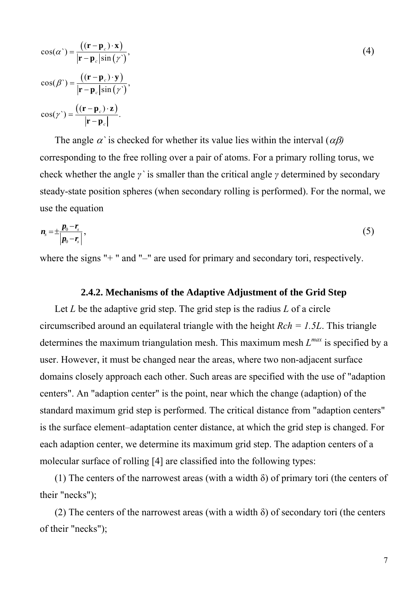$$
\cos(\alpha^{\cdot}) = \frac{\left((\mathbf{r} - \mathbf{p}_c) \cdot \mathbf{x}\right)}{|\mathbf{r} - \mathbf{p}_c| \sin(\gamma^{\cdot})},
$$
  
\n
$$
\cos(\beta^{\cdot}) = \frac{\left((\mathbf{r} - \mathbf{p}_c) \cdot \mathbf{y}\right)}{|\mathbf{r} - \mathbf{p}_c| \sin(\gamma^{\cdot})},
$$
  
\n
$$
\cos(\gamma^{\cdot}) = \frac{\left((\mathbf{r} - \mathbf{p}_c) \cdot \mathbf{z}\right)}{|\mathbf{r} - \mathbf{p}_c|}.
$$
 (4)

The angle  $\alpha$  is checked for whether its value lies within the interval  $(\alpha \beta)$ corresponding to the free rolling over a pair of atoms. For a primary rolling torus, we check whether the angle *γ`* is smaller than the critical angle *γ* determined by secondary steady-state position spheres (when secondary rolling is performed). For the normal, we use the equation

$$
n_{s}=\pm\frac{p_{0}-r_{s}}{\left|p_{0}-r_{s}\right|},\tag{5}
$$

where the signs "+" and "-" are used for primary and secondary tori, respectively.

#### **2.4.2. Mechanisms of the Adaptive Adjustment of the Grid Step**

Let *L* be the adaptive grid step. The grid step is the radius *L* of a circle circumscribed around an equilateral triangle with the height *Rch = 1.5L*. This triangle determines the maximum triangulation mesh. This maximum mesh *Lmax* is specified by a user. However, it must be changed near the areas, where two non-adjacent surface domains closely approach each other. Such areas are specified with the use of "adaption centers". An "adaption center" is the point, near which the change (adaption) of the standard maximum grid step is performed. The critical distance from "adaption centers" is the surface element–adaptation center distance, at which the grid step is changed. For each adaption center, we determine its maximum grid step. The adaption centers of a molecular surface of rolling [4] are classified into the following types:

(1) The centers of the narrowest areas (with a width  $\delta$ ) of primary tori (the centers of their "necks");

(2) The centers of the narrowest areas (with a width  $\delta$ ) of secondary tori (the centers of their "necks");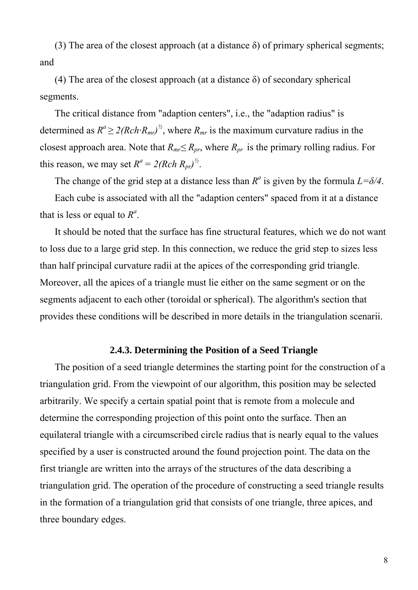(3) The area of the closest approach (at a distance  $\delta$ ) of primary spherical segments; and

(4) The area of the closest approach (at a distance  $\delta$ ) of secondary spherical segments.

The critical distance from "adaption centers", i.e., the "adaption radius" is determined as  $R^a \geq 2(Rch \cdot R_{mr})^b$ , where  $R_{mr}$  is the maximum curvature radius in the closest approach area. Note that  $R_{mr} \leq R_{pr}$ , where  $R_{pr}$  is the primary rolling radius. For this reason, we may set  $R^a = 2(Rch R_{pr})^{\frac{1}{2}}$ .

The change of the grid step at a distance less than  $R^a$  is given by the formula  $L = \delta/4$ .

Each cube is associated with all the "adaption centers" spaced from it at a distance that is less or equal to  $R^a$ .

It should be noted that the surface has fine structural features, which we do not want to loss due to a large grid step. In this connection, we reduce the grid step to sizes less than half principal curvature radii at the apices of the corresponding grid triangle. Moreover, all the apices of a triangle must lie either on the same segment or on the segments adjacent to each other (toroidal or spherical). The algorithm's section that provides these conditions will be described in more details in the triangulation scenarii.

#### **2.4.3. Determining the Position of a Seed Triangle**

The position of a seed triangle determines the starting point for the construction of a triangulation grid. From the viewpoint of our algorithm, this position may be selected arbitrarily. We specify a certain spatial point that is remote from a molecule and determine the corresponding projection of this point onto the surface. Then an equilateral triangle with a circumscribed circle radius that is nearly equal to the values specified by a user is constructed around the found projection point. The data on the first triangle are written into the arrays of the structures of the data describing a triangulation grid. The operation of the procedure of constructing a seed triangle results in the formation of a triangulation grid that consists of one triangle, three apices, and three boundary edges.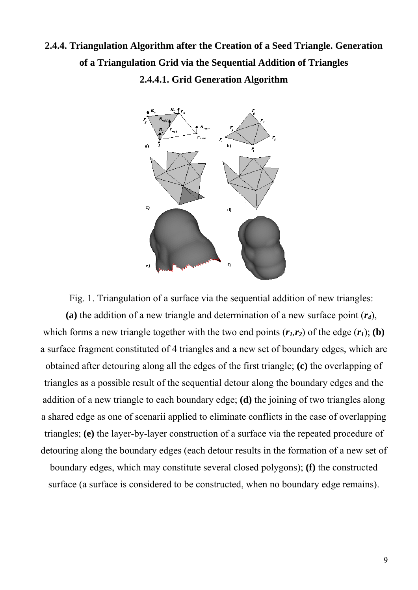# **2.4.4. Triangulation Algorithm after the Creation of a Seed Triangle. Generation of a Triangulation Grid via the Sequential Addition of Triangles 2.4.4.1. Grid Generation Algorithm**



Fig. 1. Triangulation of a surface via the sequential addition of new triangles:

**(a)** the addition of a new triangle and determination of a new surface point (*r4*), which forms a new triangle together with the two end points  $(r_1, r_2)$  of the edge  $(r_1)$ ; **(b)** a surface fragment constituted of 4 triangles and a new set of boundary edges, which are obtained after detouring along all the edges of the first triangle; **(c)** the overlapping of triangles as a possible result of the sequential detour along the boundary edges and the addition of a new triangle to each boundary edge; **(d)** the joining of two triangles along a shared edge as one of scenarii applied to eliminate conflicts in the case of overlapping triangles; **(e)** the layer-by-layer construction of a surface via the repeated procedure of detouring along the boundary edges (each detour results in the formation of a new set of boundary edges, which may constitute several closed polygons); **(f)** the constructed surface (a surface is considered to be constructed, when no boundary edge remains).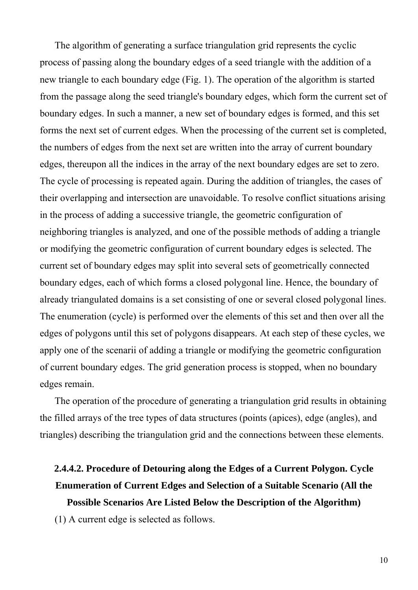The algorithm of generating a surface triangulation grid represents the cyclic process of passing along the boundary edges of a seed triangle with the addition of a new triangle to each boundary edge (Fig. 1). The operation of the algorithm is started from the passage along the seed triangle's boundary edges, which form the current set of boundary edges. In such a manner, a new set of boundary edges is formed, and this set forms the next set of current edges. When the processing of the current set is completed, the numbers of edges from the next set are written into the array of current boundary edges, thereupon all the indices in the array of the next boundary edges are set to zero. The cycle of processing is repeated again. During the addition of triangles, the cases of their overlapping and intersection are unavoidable. To resolve conflict situations arising in the process of adding a successive triangle, the geometric configuration of neighboring triangles is analyzed, and one of the possible methods of adding a triangle or modifying the geometric configuration of current boundary edges is selected. The current set of boundary edges may split into several sets of geometrically connected boundary edges, each of which forms a closed polygonal line. Hence, the boundary of already triangulated domains is a set consisting of one or several closed polygonal lines. The enumeration (cycle) is performed over the elements of this set and then over all the edges of polygons until this set of polygons disappears. At each step of these cycles, we apply one of the scenarii of adding a triangle or modifying the geometric configuration of current boundary edges. The grid generation process is stopped, when no boundary edges remain.

The operation of the procedure of generating a triangulation grid results in obtaining the filled arrays of the tree types of data structures (points (apices), edge (angles), and triangles) describing the triangulation grid and the connections between these elements.

# **2.4.4.2. Procedure of Detouring along the Edges of a Current Polygon. Cycle Enumeration of Current Edges and Selection of a Suitable Scenario (All the**

**Possible Scenarios Are Listed Below the Description of the Algorithm)**  (1) A current edge is selected as follows.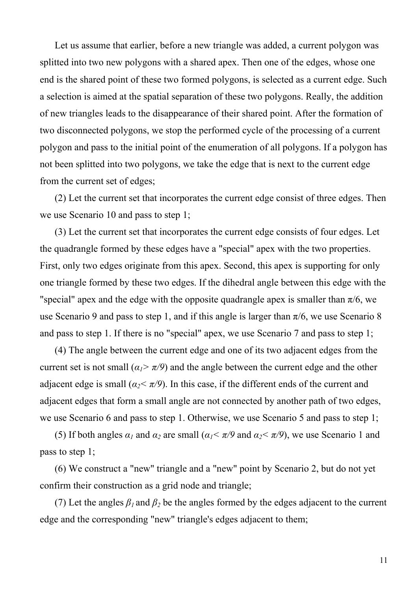Let us assume that earlier, before a new triangle was added, a current polygon was splitted into two new polygons with a shared apex. Then one of the edges, whose one end is the shared point of these two formed polygons, is selected as a current edge. Such a selection is aimed at the spatial separation of these two polygons. Really, the addition of new triangles leads to the disappearance of their shared point. After the formation of two disconnected polygons, we stop the performed cycle of the processing of a current polygon and pass to the initial point of the enumeration of all polygons. If a polygon has not been splitted into two polygons, we take the edge that is next to the current edge from the current set of edges;

(2) Let the current set that incorporates the current edge consist of three edges. Then we use Scenario 10 and pass to step 1;

(3) Let the current set that incorporates the current edge consists of four edges. Let the quadrangle formed by these edges have a "special" apex with the two properties. First, only two edges originate from this apex. Second, this apex is supporting for only one triangle formed by these two edges. If the dihedral angle between this edge with the "special" apex and the edge with the opposite quadrangle apex is smaller than  $\pi/6$ , we use Scenario 9 and pass to step 1, and if this angle is larger than  $\pi/6$ , we use Scenario 8 and pass to step 1. If there is no "special" apex, we use Scenario 7 and pass to step 1;

(4) The angle between the current edge and one of its two adjacent edges from the current set is not small ( $\alpha_1 > \pi/9$ ) and the angle between the current edge and the other adjacent edge is small ( $\alpha_2 < \pi/9$ ). In this case, if the different ends of the current and adjacent edges that form a small angle are not connected by another path of two edges, we use Scenario 6 and pass to step 1. Otherwise, we use Scenario 5 and pass to step 1;

(5) If both angles  $\alpha_1$  and  $\alpha_2$  are small  $(\alpha_1 < \pi/9)$  and  $\alpha_2 < \pi/9$ , we use Scenario 1 and pass to step 1;

(6) We construct a "new" triangle and a "new" point by Scenario 2, but do not yet confirm their construction as a grid node and triangle;

(7) Let the angles  $\beta_1$  and  $\beta_2$  be the angles formed by the edges adjacent to the current edge and the corresponding "new" triangle's edges adjacent to them;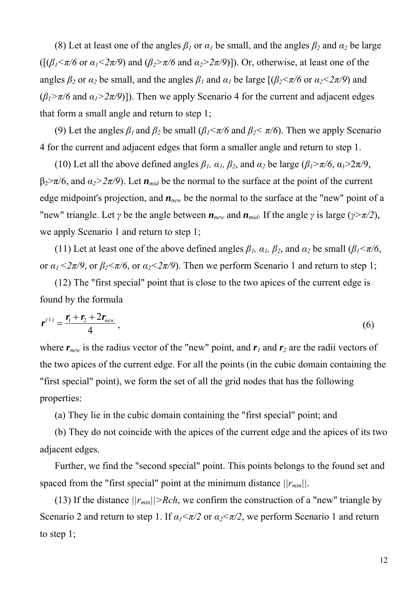(8) Let at least one of the angles  $\beta_1$  or  $\alpha_1$  be small, and the angles  $\beta_2$  and  $\alpha_2$  be large ( $[(\beta_1 \le \pi/6 \text{ or } \alpha_1 \le 2\pi/9)$  and  $(\beta_2 \ge \pi/6$  and  $\alpha_2 \ge 2\pi/9)$ ). Or, otherwise, at least one of the angles  $\beta_2$  or  $\alpha_2$  be small, and the angles  $\beta_1$  and  $\alpha_1$  be large  $[(\beta_2 \le \pi/6 \text{ or } \alpha_2 \le 2\pi/9)$  and  $(\beta_1 > \pi/6$  and  $\alpha_1 > 2\pi/9$ ]). Then we apply Scenario 4 for the current and adjacent edges that form a small angle and return to step 1;

(9) Let the angles  $\beta_1$  and  $\beta_2$  be small  $(\beta_1 \le \pi/6$  and  $\beta_2 \le \pi/6$ ). Then we apply Scenario 4 for the current and adjacent edges that form a smaller angle and return to step 1.

(10) Let all the above defined angles  $\beta_l$ ,  $\alpha_l$ ,  $\beta_2$ , and  $\alpha_2$  be large ( $\beta_l$ > $\pi/6$ ,  $\alpha_l$ > $2\pi/9$ ,  $\beta_2 > \pi/6$ , and  $\alpha_2 > 2\pi/9$ ). Let  $n_{mid}$  be the normal to the surface at the point of the current edge midpoint's projection, and *nnew* be the normal to the surface at the "new" point of a "new" triangle. Let *γ* be the angle between  $n_{new}$  and  $n_{mid}$ . If the angle *γ* is large ( $\gamma > \pi/2$ ), we apply Scenario 1 and return to step 1;

(11) Let at least one of the above defined angles  $\beta_l$ ,  $\alpha_l$ ,  $\beta_2$ , and  $\alpha_2$  be small ( $\beta_l$ < $\pi/6$ , or  $\alpha_1 < 2\pi/9$ , or  $\beta_2 < \pi/6$ , or  $\alpha_2 < 2\pi/9$ ). Then we perform Scenario 1 and return to step 1;

(12) The "first special" point that is close to the two apices of the current edge is found by the formula

$$
r^{(1)} = \frac{r_1 + r_2 + 2r_{new}}{4},
$$
 (6)

where  $r_{new}$  is the radius vector of the "new" point, and  $r_1$  and  $r_2$  are the radii vectors of the two apices of the current edge. For all the points (in the cubic domain containing the "first special" point), we form the set of all the grid nodes that has the following properties:

(a) They lie in the cubic domain containing the "first special" point; and

(b) They do not coincide with the apices of the current edge and the apices of its two adjacent edges.

Further, we find the "second special" point. This points belongs to the found set and spaced from the "first special" point at the minimum distance  $||r_{min}||$ .

(13) If the distance  $||r_{min}|| > Rch$ , we confirm the construction of a "new" triangle by Scenario 2 and return to step 1. If  $\alpha_1 < \pi/2$  or  $\alpha_2 < \pi/2$ , we perform Scenario 1 and return to step 1;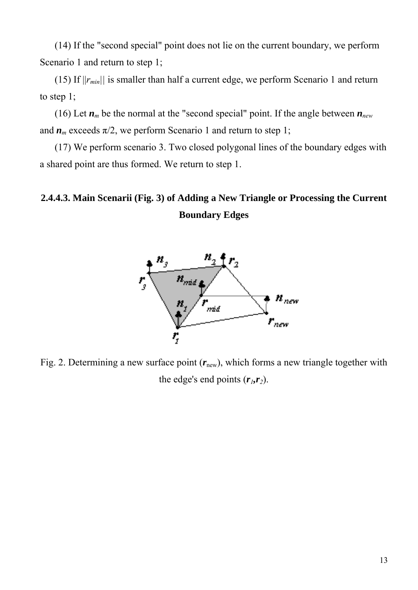(14) If the "second special" point does not lie on the current boundary, we perform Scenario 1 and return to step 1;

(15) If  $||r_{min}||$  is smaller than half a current edge, we perform Scenario 1 and return to step 1;

(16) Let  $n_m$  be the normal at the "second special" point. If the angle between  $n_{new}$ and  $n_m$  exceeds  $\pi/2$ , we perform Scenario 1 and return to step 1;

(17) We perform scenario 3. Two closed polygonal lines of the boundary edges with a shared point are thus formed. We return to step 1.

# **2.4.4.3. Main Scenarii (Fig. 3) of Adding a New Triangle or Processing the Current Boundary Edges**



Fig. 2. Determining a new surface point  $(r<sub>new</sub>)$ , which forms a new triangle together with the edge's end points  $(r_1, r_2)$ .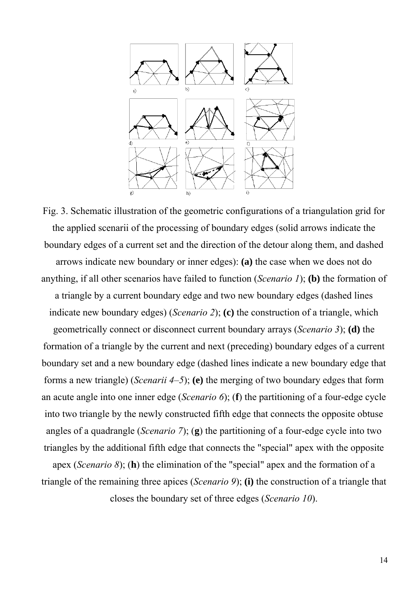

Fig. 3. Schematic illustration of the geometric configurations of a triangulation grid for the applied scenarii of the processing of boundary edges (solid arrows indicate the boundary edges of a current set and the direction of the detour along them, and dashed arrows indicate new boundary or inner edges): **(a)** the case when we does not do anything, if all other scenarios have failed to function (*Scenario 1*); **(b)** the formation of a triangle by a current boundary edge and two new boundary edges (dashed lines indicate new boundary edges) (*Scenario 2*); **(c)** the construction of a triangle, which geometrically connect or disconnect current boundary arrays (*Scenario 3*); **(d)** the formation of a triangle by the current and next (preceding) boundary edges of a current boundary set and a new boundary edge (dashed lines indicate a new boundary edge that forms a new triangle) (*Scenarii 4–5*); **(e)** the merging of two boundary edges that form an acute angle into one inner edge (*Scenario 6*); (**f**) the partitioning of a four-edge cycle into two triangle by the newly constructed fifth edge that connects the opposite obtuse angles of a quadrangle (*Scenario 7*); (**g**) the partitioning of a four-edge cycle into two triangles by the additional fifth edge that connects the "special" apex with the opposite

apex (*Scenario 8*); (**h**) the elimination of the "special" apex and the formation of a triangle of the remaining three apices (*Scenario 9*); **(i)** the construction of a triangle that

closes the boundary set of three edges (*Scenario 10*).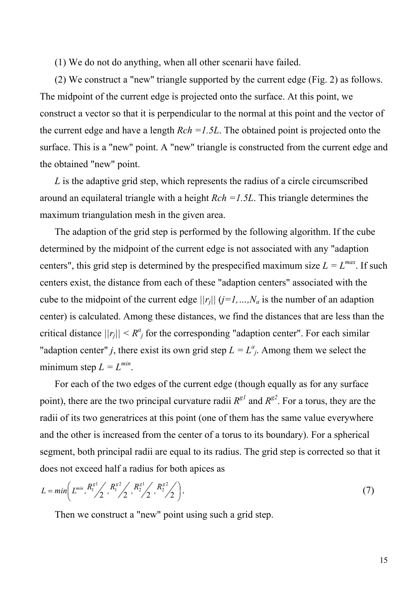(1) We do not do anything, when all other scenarii have failed.

(2) We construct a "new" triangle supported by the current edge (Fig. 2) as follows. The midpoint of the current edge is projected onto the surface. At this point, we construct a vector so that it is perpendicular to the normal at this point and the vector of the current edge and have a length *Rch =1.5L*. The obtained point is projected onto the surface. This is a "new" point. A "new" triangle is constructed from the current edge and the obtained "new" point.

*L* is the adaptive grid step, which represents the radius of a circle circumscribed around an equilateral triangle with a height *Rch =1.5L*. This triangle determines the maximum triangulation mesh in the given area.

The adaption of the grid step is performed by the following algorithm. If the cube determined by the midpoint of the current edge is not associated with any "adaption centers", this grid step is determined by the prespecified maximum size  $L = L^{max}$ . If such centers exist, the distance from each of these "adaption centers" associated with the cube to the midpoint of the current edge  $||r_j||$   $(j=1,...,N_a)$  is the number of an adaption center) is calculated. Among these distances, we find the distances that are less than the critical distance  $||r_j|| < R^a$  for the corresponding "adaption center". For each similar "adaption center" *j*, there exist its own grid step  $L = L^a_{j}$ . Among them we select the minimum step  $L = L^{min}$ .

For each of the two edges of the current edge (though equally as for any surface point), there are the two principal curvature radii  $R^{g1}$  and  $R^{g2}$ . For a torus, they are the radii of its two generatrices at this point (one of them has the same value everywhere and the other is increased from the center of a torus to its boundary). For a spherical segment, both principal radii are equal to its radius. The grid step is corrected so that it does not exceed half a radius for both apices as

$$
L = min\left(L^{min}, \frac{R_1^{g1}}{2}, \frac{R_1^{g2}}{2}, \frac{R_2^{g1}}{2}, \frac{R_2^{g2}}{2}\right).
$$
\n(7)

Then we construct a "new" point using such a grid step.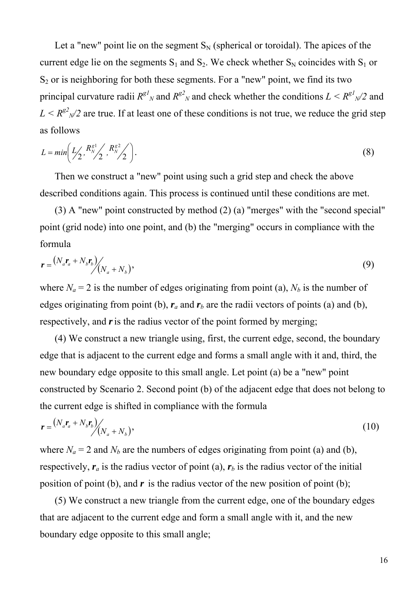Let a "new" point lie on the segment  $S_N$  (spherical or toroidal). The apices of the current edge lie on the segments  $S_1$  and  $S_2$ . We check whether  $S_N$  coincides with  $S_1$  or  $S<sub>2</sub>$  or is neighboring for both these segments. For a "new" point, we find its two principal curvature radii  $R^{g1}N$  and  $R^{g2}N$  and check whether the conditions  $L \leq R^{g1}N^{2}$  and  $L < R^{g2}$ <sub>N</sub>/2 are true. If at least one of these conditions is not true, we reduce the grid step as follows

$$
L = min\left(L_2', \frac{R_N^{g1}}{2}, \frac{R_N^{g2}}{2}\right).
$$
 (8)

Then we construct a "new" point using such a grid step and check the above described conditions again. This process is continued until these conditions are met.

(3) A "new" point constructed by method (2) (a) "merges" with the "second special" point (grid node) into one point, and (b) the "merging" occurs in compliance with the formula

$$
\boldsymbol{r} = \frac{(N_a \boldsymbol{r}_a + N_b \boldsymbol{r}_b)}{(N_a + N_b)},\tag{9}
$$

where  $N_a = 2$  is the number of edges originating from point (a),  $N_b$  is the number of edges originating from point (b),  $r_a$  and  $r_b$  are the radii vectors of points (a) and (b), respectively, and r is the radius vector of the point formed by merging;

(4) We construct a new triangle using, first, the current edge, second, the boundary edge that is adjacent to the current edge and forms a small angle with it and, third, the new boundary edge opposite to this small angle. Let point (a) be a "new" point constructed by Scenario 2. Second point (b) of the adjacent edge that does not belong to the current edge is shifted in compliance with the formula

$$
\boldsymbol{r} = \frac{(N_a \boldsymbol{r}_a + N_b \boldsymbol{r}_b)}{(N_a + N_b)},\tag{10}
$$

where  $N_a = 2$  and  $N_b$  are the numbers of edges originating from point (a) and (b), respectively,  $r_a$  is the radius vector of point (a),  $r_b$  is the radius vector of the initial position of point (b), and  $\boldsymbol{r}$  is the radius vector of the new position of point (b);

(5) We construct a new triangle from the current edge, one of the boundary edges that are adjacent to the current edge and form a small angle with it, and the new boundary edge opposite to this small angle;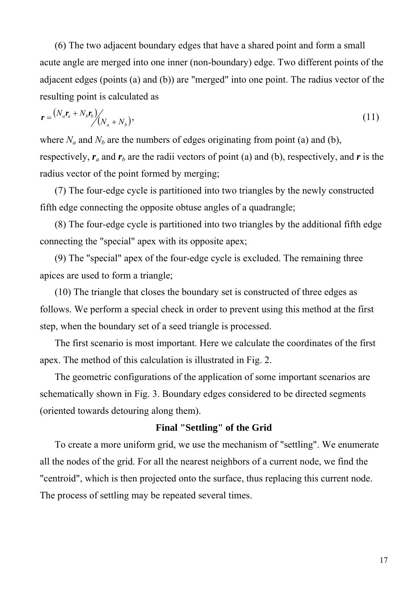(6) The two adjacent boundary edges that have a shared point and form a small acute angle are merged into one inner (non-boundary) edge. Two different points of the adjacent edges (points (a) and (b)) are "merged" into one point. The radius vector of the resulting point is calculated as

$$
\boldsymbol{r} = \frac{(N_a \boldsymbol{r}_a + N_b \boldsymbol{r}_b)}{(N_a + N_b)},\tag{11}
$$

where  $N_a$  and  $N_b$  are the numbers of edges originating from point (a) and (b), respectively,  $r_a$  and  $r_b$  are the radii vectors of point (a) and (b), respectively, and *r* is the radius vector of the point formed by merging;

(7) The four-edge cycle is partitioned into two triangles by the newly constructed fifth edge connecting the opposite obtuse angles of a quadrangle;

(8) The four-edge cycle is partitioned into two triangles by the additional fifth edge connecting the "special" apex with its opposite apex;

(9) The "special" apex of the four-edge cycle is excluded. The remaining three apices are used to form a triangle;

(10) The triangle that closes the boundary set is constructed of three edges as follows. We perform a special check in order to prevent using this method at the first step, when the boundary set of a seed triangle is processed.

The first scenario is most important. Here we calculate the coordinates of the first apex. The method of this calculation is illustrated in Fig. 2.

The geometric configurations of the application of some important scenarios are schematically shown in Fig. 3. Boundary edges considered to be directed segments (oriented towards detouring along them).

#### **Final "Settling" of the Grid**

To create a more uniform grid, we use the mechanism of "settling". We enumerate all the nodes of the grid. For all the nearest neighbors of a current node, we find the "centroid", which is then projected onto the surface, thus replacing this current node. The process of settling may be repeated several times.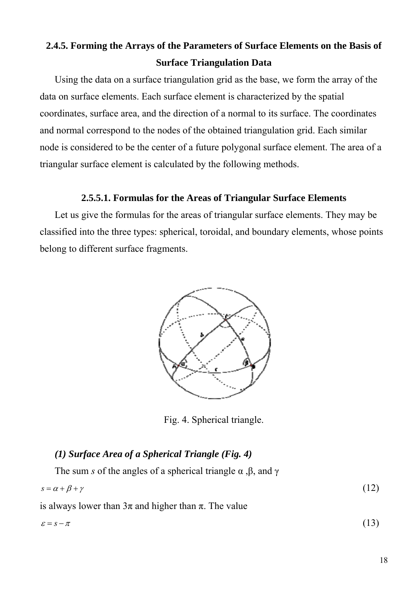## **2.4.5. Forming the Arrays of the Parameters of Surface Elements on the Basis of Surface Triangulation Data**

Using the data on a surface triangulation grid as the base, we form the array of the data on surface elements. Each surface element is characterized by the spatial coordinates, surface area, and the direction of a normal to its surface. The coordinates and normal correspond to the nodes of the obtained triangulation grid. Each similar node is considered to be the center of a future polygonal surface element. The area of a triangular surface element is calculated by the following methods.

#### **2.5.5.1. Formulas for the Areas of Triangular Surface Elements**

Let us give the formulas for the areas of triangular surface elements. They may be classified into the three types: spherical, toroidal, and boundary elements, whose points belong to different surface fragments.



Fig. 4. Spherical triangle.

### *(1) Surface Area of a Spherical Triangle (Fig. 4)*

The sum *s* of the angles of a spherical triangle  $\alpha$ ,  $\beta$ , and  $\gamma$  $s = \alpha + \beta + \gamma$  (12)

is always lower than  $3\pi$  and higher than  $\pi$ . The value

$$
\varepsilon = s - \pi \tag{13}
$$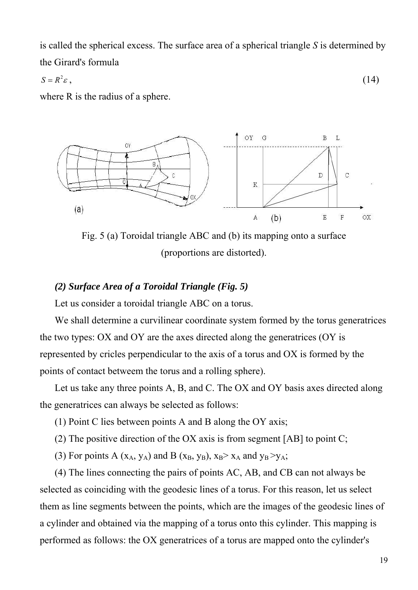is called the spherical excess. The surface area of a spherical triangle *S* is determined by the Girard's formula

$$
S = R^2 \varepsilon \,, \tag{14}
$$

where R is the radius of a sphere.



Fig. 5 (a) Toroidal triangle ABC and (b) its mapping onto a surface (proportions are distorted).

#### *(2) Surface Area of a Toroidal Triangle (Fig. 5)*

Let us consider a toroidal triangle ABC on a torus.

We shall determine a curvilinear coordinate system formed by the torus generatrices the two types: ОХ and ОY are the axes directed along the generatrices (ОY is represented by cricles perpendicular to the axis of a torus and ОХ is formed by the points of contact betweem the torus and a rolling sphere).

Let us take any three points А, В, and С. The ОХ and ОY basis axes directed along the generatrices can always be selected as follows:

- (1) Point C lies between points A and B along the OY axis;
- (2) The positive direction of the OX axis is from segment [AB] to point C;

(3) For points A ( $x_A$ ,  $y_A$ ) and B ( $x_B$ ,  $y_B$ ),  $x_B > x_A$  and  $y_B > y_A$ ;

(4) The lines connecting the pairs of points АС, АВ, and СВ can not always be selected as coinciding with the geodesic lines of a torus. For this reason, let us select them as line segments between the points, which are the images of the geodesic lines of a cylinder and obtained via the mapping of a torus onto this cylinder. This mapping is performed as follows: the OX generatrices of a torus are mapped onto the cylinder's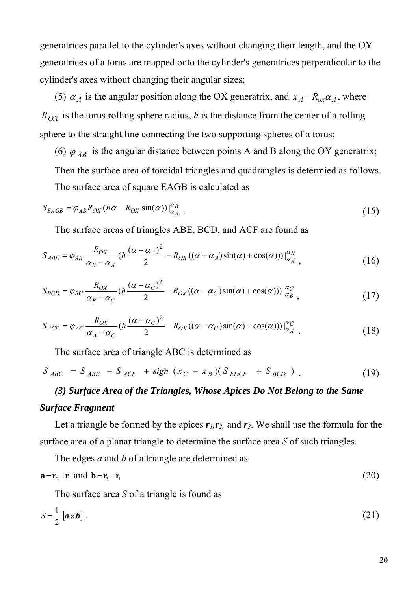generatrices parallel to the cylinder's axes without changing their length, and the OY generatrices of a torus are mapped onto the cylinder's generatrices perpendicular to the cylinder's axes without changing their angular sizes;

(5)  $\alpha_A$  is the angular position along the OX generatrix, and  $x_A = R_{ox} \alpha_A$ , where  $R_{OX}$  is the torus rolling sphere radius, *h* is the distance from the center of a rolling sphere to the straight line connecting the two supporting spheres of a torus;

(6)  $\varphi_{AB}$  is the angular distance between points A and B along the OY generatrix;

Then the surface area of toroidal triangles and quadrangles is determied as follows.

The surface area of square EAGB is calculated as

$$
S_{EAGB} = \varphi_{AB} R_{OX} (h\alpha - R_{OX} \sin(\alpha))|_{\alpha_A}^{\alpha_B} \tag{15}
$$

The surface areas of triangles ABE, BCD, and ACF are found as

$$
S_{ABE} = \varphi_{AB} \frac{R_{OX}}{\alpha_B - \alpha_A} (h \frac{(\alpha - \alpha_A)^2}{2} - R_{OX}((\alpha - \alpha_A)\sin(\alpha) + \cos(\alpha)))\Big|_{\alpha_A}^{\alpha_B},
$$
(16)

$$
S_{BCD} = \varphi_{BC} \frac{R_{OX}}{\alpha_B - \alpha_C} (h \frac{(\alpha - \alpha_C)^2}{2} - R_{OX}((\alpha - \alpha_C)\sin(\alpha) + \cos(\alpha)))\Big|_{\alpha_B}^{\alpha_C},\tag{17}
$$

$$
S_{ACF} = \varphi_{AC} \frac{R_{OX}}{\alpha_A - \alpha_C} (h \frac{(\alpha - \alpha_C)^2}{2} - R_{OX}((\alpha - \alpha_C)\sin(\alpha) + \cos(\alpha)))\Big|_{\alpha_A}^{\alpha_C}
$$
 (18)

The surface area of triangle ABC is determined as

$$
S_{ABC} = S_{ABE} - S_{ACF} + sign (x_C - x_B)(S_{EDCF} + S_{BCD})
$$
\n(19)

### *(3) Surface Area of the Triangles, Whose Apices Do Not Belong to the Same Surface Fragment*

Let a triangle be formed by the apices  $r_l$ ,  $r_l$ , and  $r_3$ . We shall use the formula for the surface area of a planar triangle to determine the surface area *S* of such triangles.

The edges *a* and *b* of a triangle are determined as

$$
\mathbf{a} = \mathbf{r}_2 - \mathbf{r}_1 \text{ and } \mathbf{b} = \mathbf{r}_3 - \mathbf{r}_1 \tag{20}
$$

The surface area *S* of a triangle is found as

$$
S = \frac{1}{2} |[a \times b]|. \tag{21}
$$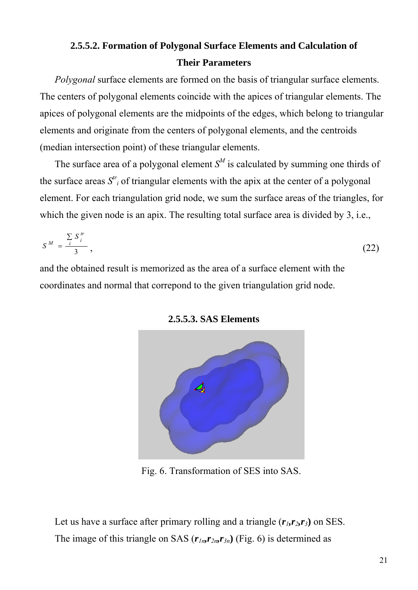### **2.5.5.2. Formation of Polygonal Surface Elements and Calculation of Their Parameters**

*Polygonal* surface elements are formed on the basis of triangular surface elements. The centers of polygonal elements coincide with the apices of triangular elements. The apices of polygonal elements are the midpoints of the edges, which belong to triangular elements and originate from the centers of polygonal elements, and the centroids (median intersection point) of these triangular elements.

The surface area of a polygonal element  $S^M$  is calculated by summing one thirds of the surface areas  $S^{tr}$  of triangular elements with the apix at the center of a polygonal element. For each triangulation grid node, we sum the surface areas of the triangles, for which the given node is an apix. The resulting total surface area is divided by 3, i.e.,

$$
S^M = \frac{\sum\limits_{i} S_i^{tr}}{3},\tag{22}
$$

and the obtained result is memorized as the area of a surface element with the coordinates and normal that correpond to the given triangulation grid node.



**2.5.5.3. SAS Elements** 

Fig. 6. Transformation of SES into SAS.

Let us have a surface after primary rolling and a triangle  $(r_i, r_\lambda, r_\lambda)$  on SES. The image of this triangle on SAS  $(r_{1n}, r_{2n}, r_{3n})$  (Fig. 6) is determined as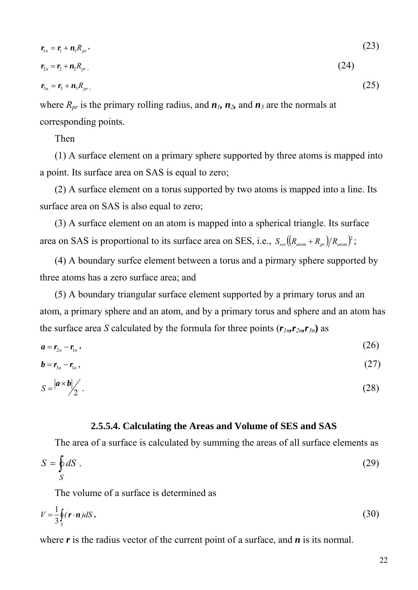$$
r_{1n} = r_1 + n_1 R_{pr}, \qquad (23)
$$

$$
r_{2n} = r_2 + n_2 R_{pr}. \tag{24}
$$

$$
r_{3n} = r_3 + n_3 R_{pr}, \qquad (25)
$$

where  $R_{pr}$  is the primary rolling radius, and  $n_1$ ,  $n_2$ , and  $n_3$  are the normals at corresponding points.

Then

(1) A surface element on a primary sphere supported by three atoms is mapped into a point. Its surface area on SAS is equal to zero;

(2) A surface element on a torus supported by two atoms is mapped into a line. Its surface area on SAS is also equal to zero;

(3) A surface element on an atom is mapped into a spherical triangle. Its surface area on SAS is proportional to its surface area on SES, i.e.,  $S_{\text{ses}}\left((R_{\text{atom}}+R_{\text{pr}})/R_{\text{atom}}\right)^2$ ;

(4) A boundary surfce element between a torus and a pirmary sphere supported by three atoms has a zero surface area; and

(5) A boundary triangular surface element supported by a primary torus and an atom, a primary sphere and an atom, and by a primary torus and sphere and an atom has the surface area *S* calculated by the formula for three points  $(r_{1n}r_{2n}r_{3n})$  as

$$
a=r_{2n}-r_{1n},\hspace{1cm} (26)
$$

$$
\boldsymbol{b} = \boldsymbol{r}_{3n} - \boldsymbol{r}_{1n},\tag{27}
$$

$$
S = \left| \frac{a \times b}{2} \right| \tag{28}
$$

#### **2.5.5.4. Calculating the Areas and Volume of SES and SAS**

The area of a surface is calculated by summing the areas of all surface elements as

$$
S = \oint_{S} dS \tag{29}
$$

The volume of a surface is determined as

$$
V = \frac{1}{3} \oint_{S} (\mathbf{r} \cdot \mathbf{n}) dS , \qquad (30)
$$

where r is the radius vector of the current point of a surface, and *n* is its normal.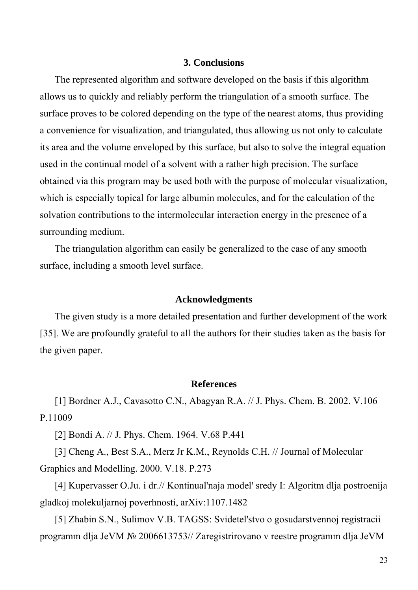#### **3. Conclusions**

The represented algorithm and software developed on the basis if this algorithm allows us to quickly and reliably perform the triangulation of a smooth surface. The surface proves to be colored depending on the type of the nearest atoms, thus providing a convenience for visualization, and triangulated, thus allowing us not only to calculate its area and the volume enveloped by this surface, but also to solve the integral equation used in the continual model of a solvent with a rather high precision. The surface obtained via this program may be used both with the purpose of molecular visualization, which is especially topical for large albumin molecules, and for the calculation of the solvation contributions to the intermolecular interaction energy in the presence of a surrounding medium.

The triangulation algorithm can easily be generalized to the case of any smooth surface, including a smooth level surface.

#### **Acknowledgments**

The given study is a more detailed presentation and further development of the work [35]. We are profoundly grateful to all the authors for their studies taken as the basis for the given paper.

#### **References**

[1] Bordner A.J., Cavasotto C.N., Abagyan R.A. // J. Phys. Chem. B. 2002. V.106 P.11009

[2] Bondi A. // J. Phys. Chem. 1964. V.68 P.441

[3] Cheng A., Best S.A., Merz Jr K.M., Reynolds C.H. // Journal of Molecular Graphics and Modelling. 2000. V.18. P.273

[4] Kupervasser O.Ju. i dr.// Kontinual'naja model' sredy I: Algoritm dlja postroenija gladkoj molekuljarnoj poverhnosti, arXiv:1107.1482

[5] Zhabin S.N., Sulimov V.B. TAGSS: Svidetel'stvo o gosudarstvennoj registracii programm dlja JeVM № 2006613753// Zaregistrirovano v reestre programm dlja JeVM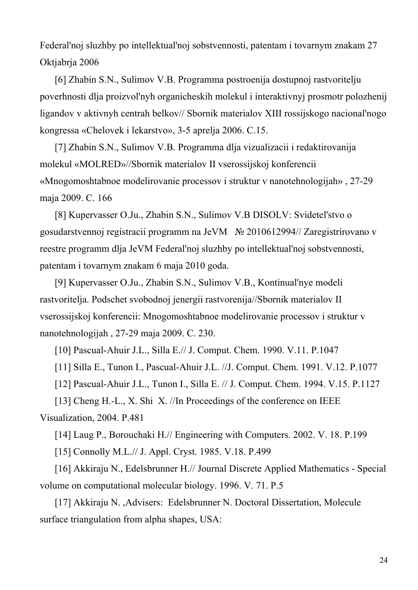Federal'noj sluzhby po intellektual'noj sobstvennosti, patentam i tovarnym znakam 27 Oktjabrja 2006

[6] Zhabin S.N., Sulimov V.B. Programma postroenija dostupnoj rastvoritelju poverhnosti dlja proizvol'nyh organicheskih molekul i interaktivnyj prosmotr polozhenij ligandov v aktivnyh centrah belkov// Sbornik materialov XIII rossijskogo nacional'nogo kongressa «Chelovek i lekarstvo», 3-5 aprelja 2006. C.15.

[7] Zhabin S.N., Sulimov V.B. Programma dlja vizualizacii i redaktirovanija molekul «MOLRED»//Sbornik materialov II vserossijskoj konferencii «Mnogomoshtabnoe modelirovanie processov i struktur v nanotehnologijah» , 27-29 maja 2009. C. 166

[8] Kupervasser O.Ju., Zhabin S.N., Sulimov V.B DISOLV: Svidetel'stvo o gosudarstvennoj registracii programm na JeVM № 2010612994// Zaregistrirovano v reestre programm dlja JeVM Federal'noj sluzhby po intellektual'noj sobstvennosti, patentam i tovarnym znakam 6 maja 2010 goda.

[9] Kupervasser O.Ju., Zhabin S.N., Sulimov V.B., Kontinual'nye modeli rastvoritelja. Podschet svobodnoj jenergii rastvorenija//Sbornik materialov II vserossijskoj konferencii: Mnogomoshtabnoe modelirovanie processov i struktur v nanotehnologijah , 27-29 maja 2009. C. 230.

[10] Pascual-Ahuir J.L., Silla E.// J. Comput. Chem. 1990. V.11. P.1047

[11] Silla E., Tunon I., Pascual-Ahuir J.L. //J. Comput. Chem. 1991. V.12. P.1077

[12] Pascual-Ahuir J.L., Tunon I., Silla E. // J. Comput. Chem. 1994. V.15. P.1127

[13] Cheng H.-L., X. Shi X. //In Proceedings of the conference on IEEE Visualization, 2004. P.481

[14] Laug P., Borouchaki H.// Engineering with Computers. 2002. V. 18. P.199

[15] Connolly M.L.// J. Appl. Cryst. 1985. V.18. P.499

[16] Akkiraju N., Edelsbrunner H.// Journal Discrete Applied Mathematics - Special volume on computational molecular biology. 1996. V. 71. P.5

[17] Akkiraju N. ,Advisers: Edelsbrunner N. Doctoral Dissertation, Molecule surface triangulation from alpha shapes, USA: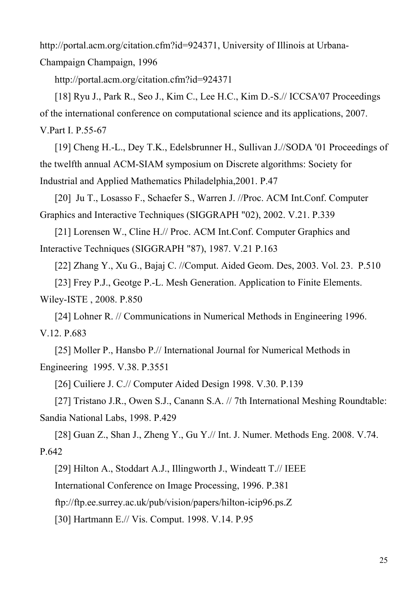http://portal.acm.org/citation.cfm?id=924371, University of Illinois at Urbana-

Champaign Champaign, 1996

http://portal.acm.org/citation.cfm?id=924371

[18] Ryu J., Park R., Seo J., Kim C., Lee H.C., Kim D.-S.// ICCSA'07 Proceedings of the international conference on computational science and its applications, 2007. V.Part I. P.55-67

[19] Cheng H.-L., Dey T.K., Edelsbrunner H., Sullivan J.//SODA '01 Proceedings of the twelfth annual ACM-SIAM symposium on Discrete algorithms: Society for Industrial and Applied Mathematics Philadelphia,2001. P.47

[20] Ju T., Losasso F., Schaefer S., Warren J. //Proc. ACM Int.Conf. Computer Graphics and Interactive Techniques (SIGGRAPH "02), 2002. V.21. P.339

[21] Lorensen W., Cline H.// Proc. ACM Int.Conf. Computer Graphics and Interactive Techniques (SIGGRAPH "87), 1987. V.21 P.163

[22] Zhang Y., Xu G., Bajaj C. //Comput. Aided Geom. Des, 2003. Vol. 23. P.510

[23] Frey P.J., Geotge P.-L. Mesh Generation. Application to Finite Elements.

Wiley-ISTE , 2008. P.850

[24] Lohner R. // Communications in Numerical Methods in Engineering 1996. V.12. P.683

[25] Moller P., Hansbo P.// International Journal for Numerical Methods in Engineering 1995. V.38. P.3551

[26] Cuiliere J. C.// Computer Aided Design 1998. V.30. P.139

[27] Tristano J.R., Owen S.J., Canann S.A. // 7th International Meshing Roundtable: Sandia National Labs, 1998. P.429

[28] Guan Z., Shan J., Zheng Y., Gu Y.// Int. J. Numer. Methods Eng. 2008. V.74. P.642

[29] Hilton A., Stoddart A.J., Illingworth J., Windeatt T.// IEEE

International Conference on Image Processing, 1996. P.381

ftp://ftp.ee.surrey.ac.uk/pub/vision/papers/hilton-icip96.ps.Z

[30] Hartmann E.// Vis. Comput. 1998. V.14. P.95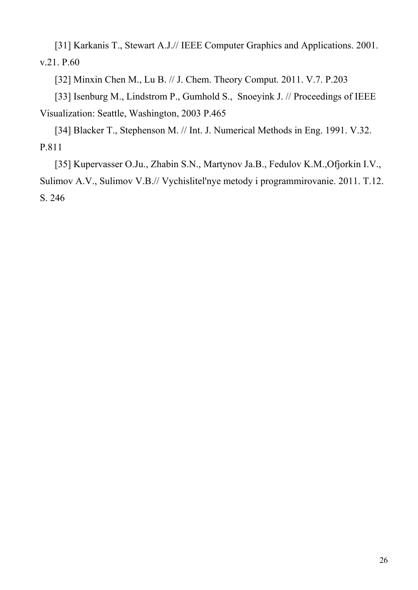[31] Karkanis T., Stewart A.J.// IEEE Computer Graphics and Applications. 2001. v.21. P.60

[32] Minxin Chen M., Lu B. // J. Chem. Theory Comput. 2011. V.7. P.203

[33] Isenburg M., Lindstrom P., Gumhold S., Snoeyink J. // Proceedings of IEEE Visualization: Seattle, Washington, 2003 P.465

[34] Blacker T., Stephenson M. // Int. J. Numerical Methods in Eng. 1991. V.32. P.811

[35] Kupervasser O.Ju., Zhabin S.N., Martynov Ja.B., Fedulov K.M.,Ofjorkin I.V., Sulimov A.V., Sulimov V.B.// Vychislitel'nye metody i programmirovanie. 2011. T.12. S. 246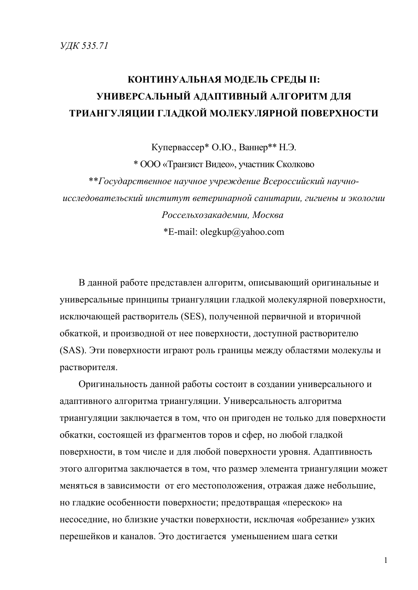# **КОНТИНУАЛЬНАЯ МОДЕЛЬ СРЕДЫ II: УНИВЕРСАЛЬНЫЙ АДАПТИВНЫЙ АЛГОРИТМ ДЛЯ ТРИАНГУЛЯЦИИ ГЛАДКОЙ МОЛЕКУЛЯРНОЙ ПОВЕРХНОСТИ**

Купервассер\* О.Ю., Ваннер\*\* Н.Э. \* OOO «Транзист Видео», участник Сколково \*\**Государственное научное учреждение Всероссийский научноисследовательский институт ветеринарной санитарии, гигиены и экологии Россельхозакадемии, Москва* \*E-mail: olegkup@yahoo.com

В данной работе представлен алгоритм, описывающий оригинальные и универсальные принципы триангуляции гладкой молекулярной поверхности, исключающей растворитель (SES), полученной первичной и вторичной обкаткой, и производной от нее поверхности, доступной растворителю (SAS). Эти поверхности играют роль границы между областями молекулы и растворителя.

Оригинальность данной работы состоит в создании универсального и адаптивного алгоритма триангуляции. Универсальность алгоритма триангуляции заключается в том, что он пригоден не только для поверхности обкатки, состоящей из фрагментов торов и сфер, но любой гладкой поверхности, в том числе и для любой поверхности уровня. Адаптивность этого алгоритма заключается в том, что размер элемента триангуляции может меняться в зависимости от его местоположения, отражая даже небольшие, но гладкие особенности поверхности; предотвращая «перескок» на несоседние, но близкие участки поверхности, исключая «обрезание» узких перешейков и каналов. Это достигается уменьшением шага сетки

1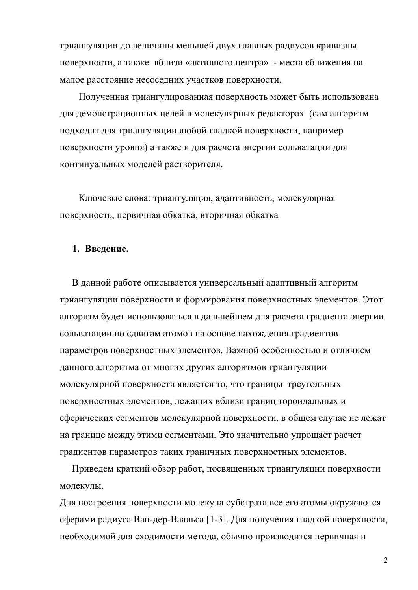триангуляции до величины меньшей двух главных радиусов кривизны поверхности, а также вблизи «активного центра» - места сближения на малое расстояние несоседних участков поверхности.

Полученная триангулированная поверхность может быть использована для демонстрационных целей в молекулярных редакторах (сам алгоритм подходит для триангуляции любой гладкой поверхности, например поверхности уровня) а также и для расчета энергии сольватации для континуальных моделей растворителя.

Ключевые слова: триангуляция, адаптивность, молекулярная поверхность, первичная обкатка, вторичная обкатка

#### **1. Введение.**

 В данной работе описывается универсальный адаптивный алгоритм триангуляции поверхности и формирования поверхностных элементов. Этот алгоритм будет использоваться в дальнейшем для расчета градиента энергии сольватации по сдвигам атомов на основе нахождения градиентов параметров поверхностных элементов. Важной особенностью и отличием данного алгоритма от многих других алгоритмов триангуляции молекулярной поверхности является то, что границы треугольных поверхностных элементов, лежащих вблизи границ тороидальных и сферических сегментов молекулярной поверхности, в общем случае не лежат на границе между этими сегментами. Это значительно упрощает расчет градиентов параметров таких граничных поверхностных элементов.

 Приведем краткий обзор работ, посвященных триангуляции поверхности молекулы.

Для построения поверхности молекула субстрата все его атомы окружаются сферами радиуса Ван-дер-Ваальса [1-3]. Для получения гладкой поверхности, необходимой для сходимости метода, обычно производится первичная и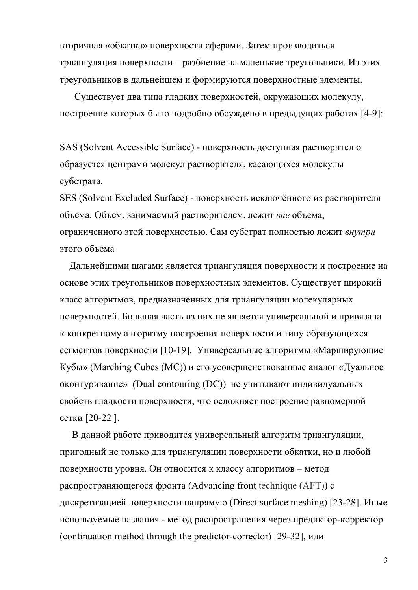вторичная «обкатка» поверхности сферами. Затем производиться триангуляция поверхности – разбиение на маленькие треугольники. Из этих треугольников в дальнейшем и формируются поверхностные элементы.

 Существует два типа гладких поверхностей, окружающих молекулу, построение которых было подробно обсуждено в предыдущих работах [4-9]:

SAS (Solvent Accessible Surface) - поверхность доступная растворителю образуется центрами молекул растворителя, касающихся молекулы субстрата.

SES (Solvent Excluded Surface) - поверхность исключённого из растворителя объёма. Объем, занимаемый растворителем, лежит *вне* объема, ограниченного этой поверхностью. Сам субстрат полностью лежит *внутри* этого объема

 Дальнейшими шагами является триангуляция поверхности и построение на основе этих треугольников поверхностных элементов. Существует широкий класс алгоритмов, предназначенных для триангуляции молекулярных поверхностей. Большая часть из них не является универсальной и привязана к конкретному алгоритму построения поверхности и типу образующихся сегментов поверхности [10-19]. Универсальные алгоритмы «Марширующие Кубы» (Marching Cubes (MC)) и его усовершенствованные аналог «Дуальное оконтуривание» (Dual contouring (DC)) не учитывают индивидуальных свойств гладкости поверхности, что осложняет построение равномерной сетки [20-22 ].

 В данной работе приводится универсальный алгоритм триангуляции, пригодный не только для триангуляции поверхности обкатки, но и любой поверхности уровня. Он относится к классу алгоритмов – метод распространяющегося фронта (Advancing front technique (AFT)) с дискретизацией поверхности напрямую (Direct surface meshing) [23-28]. Иные используемые названия - метод распространения через предиктор-корректор (continuation method through the predictor-corrector) [29-32], или

3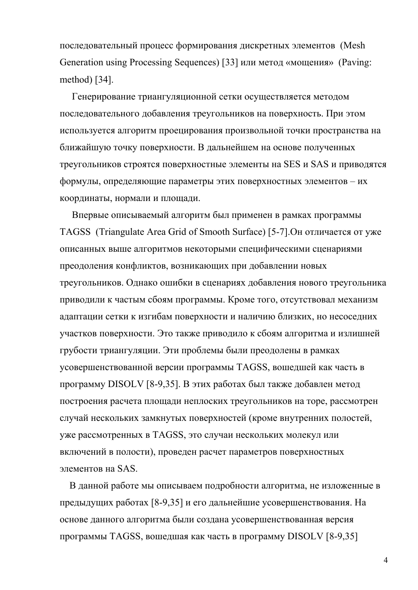последовательный процесс формирования дискретных элементов (Mesh Generation using Processing Sequences) [33] или метод «мощения» (Paving: method) [34].

 Генерирование триангуляционной сетки осуществляется методом последовательного добавления треугольников на поверхность. При этом используется алгоритм проецирования произвольной точки пространства на ближайшую точку поверхности. В дальнейшем на основе полученных треугольников строятся поверхностные элементы на SES и SAS и приводятся формулы, определяющие параметры этих поверхностных элементов – их координаты, нормали и площади.

 Впервые описываемый алгоритм был применен в рамках программы TAGSS (Triangulate Area Grid of Smooth Surface) [5-7].Он отличается от уже описанных выше алгоритмов некоторыми специфическими сценариями преодоления конфликтов, возникающих при добавлении новых треугольников. Однако ошибки в сценариях добавления нового треугольника приводили к частым сбоям программы. Кроме того, отсутствовал механизм адаптации сетки к изгибам поверхности и наличию близких, но несоседних участков поверхности. Это также приводило к сбоям алгоритма и излишней грубости триангуляции. Эти проблемы были преодолены в рамках усовершенствованной версии программы TAGSS, вошедшей как часть в программу DISOLV [8-9,35]. В этих работах был также добавлен метод построения расчета площади неплоских треугольников на торе, рассмотрен случай нескольких замкнутых поверхностей (кроме внутренних полостей, уже рассмотренных в TAGSS, это случаи нескольких молекул или включений в полости), проведен расчет параметров поверхностных элементов на SAS.

 В данной работе мы описываем подробности алгоритма, не изложенные в предыдущих работах [8-9,35] и его дальнейшие усовершенствования. На основе данного алгоритма были создана усовершенствованная версия программы TAGSS, вошедшая как часть в программу DISOLV [8-9,35]

4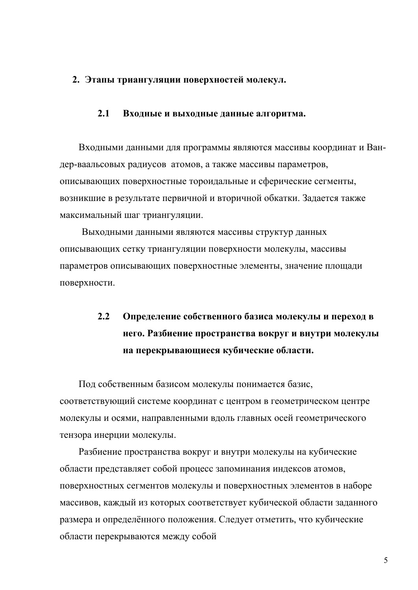#### **2. Этапы триангуляции поверхностей молекул.**

#### **2.1 Входные и выходные данные алгоритма.**

Входными данными для программы являются массивы координат и Вандер-ваальсовых радиусов атомов, а также массивы параметров, описывающих поверхностные тороидальные и сферические сегменты, возникшие в результате первичной и вторичной обкатки. Задается также максимальный шаг триангуляции.

 Выходными данными являются массивы структур данных описывающих сетку триангуляции поверхности молекулы, массивы параметров описывающих поверхностные элементы, значение площади поверхности.

# **2.2 Определение собственного базиса молекулы и переход в него. Разбиение пространства вокруг и внутри молекулы на перекрывающиеся кубические области.**

Под собственным базисом молекулы понимается базис, соответствующий системе координат с центром в геометрическом центре молекулы и осями, направленными вдоль главных осей геометрического тензора инерции молекулы.

Разбиение пространства вокруг и внутри молекулы на кубические области представляет собой процесс запоминания индексов атомов, поверхностных сегментов молекулы и поверхностных элементов в наборе массивов, каждый из которых соответствует кубической области заданного размера и определённого положения. Следует отметить, что кубические области перекрываются между собой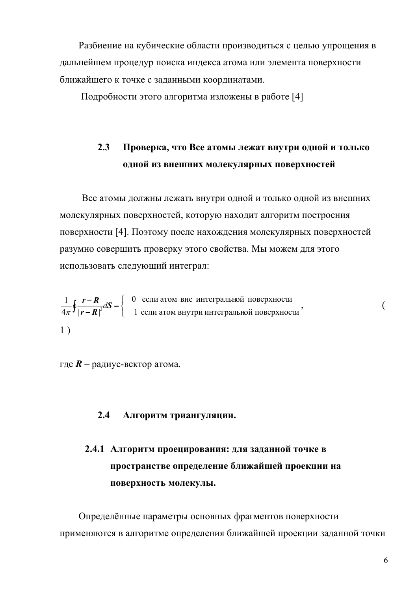Разбиение на кубические области производиться с целью упрощения в дальнейшем процедур поиска индекса атома или элемента поверхности ближайшего к точке с заданными координатами.

Подробности этого алгоритма изложены в работе [4]

### **2.3 Проверка, что Все атомы лежат внутри одной и только одной из внешних молекулярных поверхностей**

 Все атомы должны лежать внутри одной и только одной из внешних молекулярных поверхностей, которую находит алгоритм построения поверхности [4]. Поэтому после нахождения молекулярных поверхностей разумно совершить проверку этого свойства. Мы можем для этого использовать следующий интеграл:

$$
\frac{1}{4\pi} \oint \frac{\mathbf{r} - \mathbf{R}}{|\mathbf{r} - \mathbf{R}|^3} dS = \begin{cases} 0 & \text{ecли атом вне интегральной поверхности} \\ 1 & \text{ecли атом внутри интегральной поверхности} \end{cases}
$$

где  $R$  – радиус-вектор атома.

#### **2.4 Алгоритм триангуляции.**

# **2.4.1 Алгоритм проецирования: для заданной точке в пространстве определение ближайшей проекции на поверхность молекулы.**

Определённые параметры основных фрагментов поверхности применяются в алгоритме определения ближайшей проекции заданной точки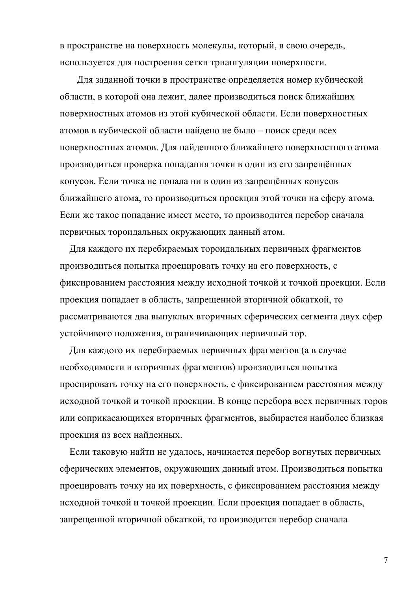в пространстве на поверхность молекулы, который, в свою очередь, используется для построения сетки триангуляции поверхности.

 Для заданной точки в пространстве определяется номер кубической области, в которой она лежит, далее производиться поиск ближайших поверхностных атомов из этой кубической области. Если поверхностных атомов в кубической области найдено не было – поиск среди всех поверхностных атомов. Для найденного ближайшего поверхностного атома производиться проверка попадания точки в один из его запрещённых конусов. Если точка не попала ни в один из запрещённых конусов ближайшего атома, то производиться проекция этой точки на сферу атома. Если же такое попадание имеет место, то производится перебор сначала первичных тороидальных окружающих данный атом.

 Для каждого их перебираемых тороидальных первичных фрагментов производиться попытка проецировать точку на его поверхность, с фиксированием расстояния между исходной точкой и точкой проекции. Если проекция попадает в область, запрещенной вторичной обкаткой, то рассматриваются два выпуклых вторичных сферических сегмента двух сфер устойчивого положения, ограничивающих первичный тор.

 Для каждого их перебираемых первичных фрагментов (а в случае необходимости и вторичных фрагментов) производиться попытка проецировать точку на его поверхность, с фиксированием расстояния между исходной точкой и точкой проекции. В конце перебора всех первичных торов или соприкасающихся вторичных фрагментов, выбирается наиболее близкая проекция из всех найденных.

 Если таковую найти не удалось, начинается перебор вогнутых первичных сферических элементов, окружающих данный атом. Производиться попытка проецировать точку на их поверхность, с фиксированием расстояния между исходной точкой и точкой проекции. Если проекция попадает в область, запрещенной вторичной обкаткой, то производится перебор сначала

7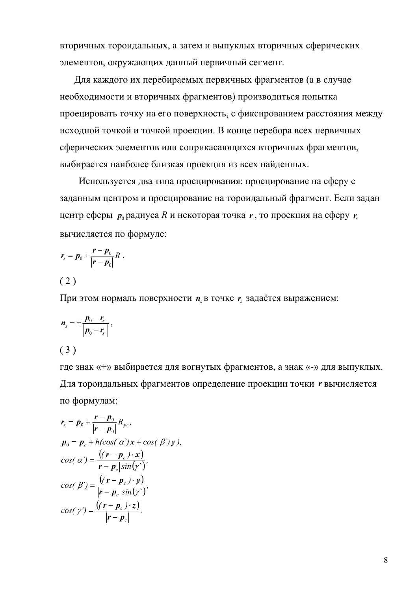вторичных тороидальных, а затем и выпуклых вторичных сферических элементов, окружающих данный первичный сегмент.

 Для каждого их перебираемых первичных фрагментов (а в случае необходимости и вторичных фрагментов) производиться попытка проецировать точку на его поверхность, с фиксированием расстояния между исходной точкой и точкой проекции. В конце перебора всех первичных сферических элементов или соприкасающихся вторичных фрагментов, выбирается наиболее близкая проекция из всех найденных.

Используется два типа проецирования: проецирование на сферу с заданным центром и проецирование на тороидальный фрагмент. Если задан центр сферы  $p_0$  радиуса R и некоторая точка  $r$ , то проекция на сферу  $r_s$ вычисляется по формуле:

$$
\boldsymbol{r}_s = \boldsymbol{p}_0 + \frac{\boldsymbol{r} - \boldsymbol{p}_0}{|\boldsymbol{r} - \boldsymbol{p}_0|} \boldsymbol{R}.
$$

 $(2)$ 

При этом нормаль поверхности  $n<sub>s</sub>$  в точке  $r<sub>s</sub>$  задаётся выражением:

$$
n_s = \pm \frac{p_0 - r_s}{|p_0 - r_s|},
$$
\n(3)

где знак «+» выбирается для вогнутых фрагментов, а знак «-» для выпуклых. Для тороидальных фрагментов определение проекции точки *r* вычисляется по формулам:

$$
r_s = p_0 + \frac{r - p_0}{|r - p_0|} R_{pr},
$$
  
\n
$$
p_0 = p_c + h(\cos(\alpha) x + \cos(\beta) y),
$$
  
\n
$$
\cos(\alpha) = \frac{((r - p_c) \cdot x)}{|r - p_c|\sin(\gamma)},
$$
  
\n
$$
\cos(\beta) = \frac{((r - p_c) \cdot y)}{|r - p_c|\sin(\gamma)},
$$
  
\n
$$
\cos(\gamma) = \frac{((r - p_c) \cdot z)}{|r - p_c|}.
$$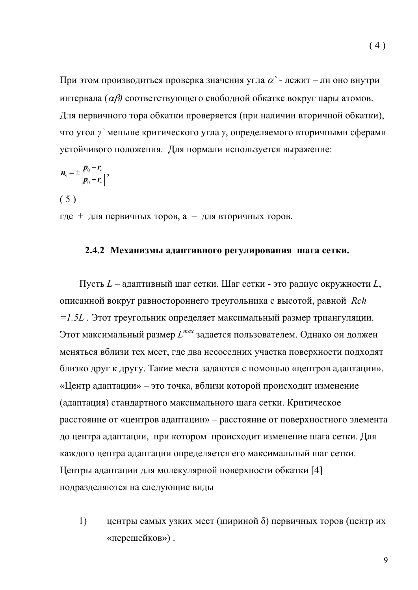При этом производиться проверка значения угла <sup>α</sup>*`* - лежит – ли оно внутри интервала (αβ*)* соответствующего свободной обкатке вокруг пары атомов. Для первичного тора обкатки проверяется (при наличии вторичной обкатки), что угол *γ`* меньше критического угла *γ*, определяемого вторичными сферами устойчивого положения. Для нормали используется выражение:

$$
\boldsymbol{n}_{s}=\pm\frac{\boldsymbol{p}_{0}-\boldsymbol{r}_{s}}{\left|\boldsymbol{p}_{0}-\boldsymbol{r}_{s}\right|},
$$

 $(5)$ 

где + для первичных торов, а – для вторичных торов.

#### **2.4.2 Механизмы адаптивного регулирования шага сетки.**

 Пусть *L* – адаптивный шаг сетки. Шаг сетки - это радиус окружности *L*, описанной вокруг равностороннего треугольника с высотой, равной *Rch =1.5L* . Этот треугольник определяет максимальный размер триангуляции. Этот максимальный размер *Lmax* задается пользователем. Однако он должен меняться вблизи тех мест, где два несоседних участка поверхности подходят близко друг к другу. Такие места задаются с помощью «центров адаптации». «Центр адаптации» – это точка, вблизи которой происходит изменение (адаптация) стандартного максимального шага сетки. Критическое расстояние от «центров адаптации» – расстояние от поверхностного элемента до центра адаптации, при котором происходит изменение шага сетки. Для каждого центра адаптации определяется его максимальный шаг сетки. Центры адаптации для молекулярной поверхности обкатки [4] подразделяются на следующие виды

1) центры самых узких мест (шириной δ) первичных торов (центр их «перешейков») .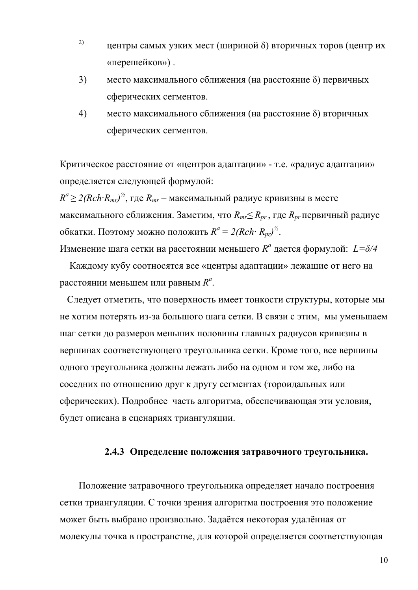- <sup>2)</sup> центры самых узких мест (шириной  $\delta$ ) вторичных торов (центр их «перешейков») .
- 3) место максимального сближения (на расстояние δ) первичных сферических сегментов.
- 4) место максимального сближения (на расстояние δ) вторичных сферических сегментов.

Критическое расстояние от «центров адаптации» - т.е. «радиус адаптации» определяется следующей формулой:

 $R^a$ ≥ 2(Rch·R<sub>mr</sub>)<sup>½</sup>, где R<sub>mr</sub> — максимальный радиус кривизны в месте максимального сближения. Заметим, что  $R_{mr} \leq R_{pr}$ , где  $R_{pr}$  первичный радиус обкатки. Поэтому можно положить  $R^a = 2(Rch \cdot R_{pr})^{\frac{1}{2}}$ .

Изменение шага сетки на расстоянии меньшего  $R^a$  дается формулой:  $L = \delta/4$ 

 Каждому кубу соотносятся все «центры адаптации» лежащие от него на расстоянии меньшем или равным  $R^a$ .

 Следует отметить, что поверхность имеет тонкости структуры, которые мы не хотим потерять из-за большого шага сетки. В связи с этим, мы уменьшаем шаг сетки до размеров меньших половины главных радиусов кривизны в вершинах соответствующего треугольника сетки. Кроме того, все вершины одного треугольника должны лежать либо на одном и том же, либо на соседних по отношению друг к другу сегментах (тороидальных или сферических). Подробнее часть алгоритма, обеспечивающая эти условия, будет описана в сценариях триангуляции.

#### **2.4.3 Определение положения затравочного треугольника.**

Положение затравочного треугольника определяет начало построения сетки триангуляции. С точки зрения алгоритма построения это положение может быть выбрано произвольно. Задаётся некоторая удалённая от молекулы точка в пространстве, для которой определяется соответствующая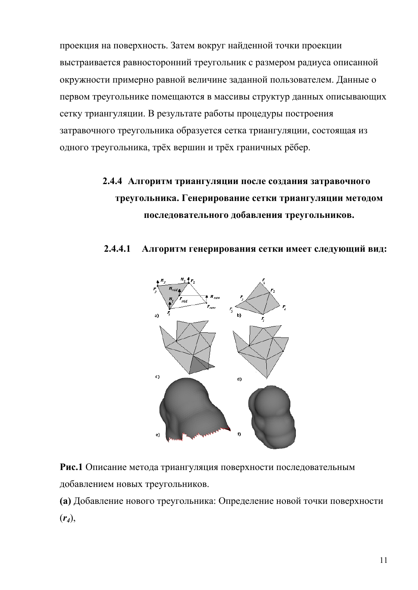проекция на поверхность. Затем вокруг найденной точки проекции выстраивается равносторонний треугольник с размером радиуса описанной окружности примерно равной величине заданной пользователем. Данные о первом треугольнике помещаются в массивы структур данных описывающих сетку триангуляции. В результате работы процедуры построения затравочного треугольника образуется сетка триангуляции, состоящая из одного треугольника, трёх вершин и трёх граничных рёбер.

# **2.4.4 Алгоритм триангуляции после создания затравочного треугольника. Генерирование сетки триангуляции методом последовательного добавления треугольников.**

#### **2.4.4.1 Алгоритм генерирования сетки имеет следующий вид:**



**Рис.1** Описание метода триангуляция поверхности последовательным добавлением новых треугольников.

**(a)** Добавление нового треугольника: Определение новой точки поверхности (*r4*),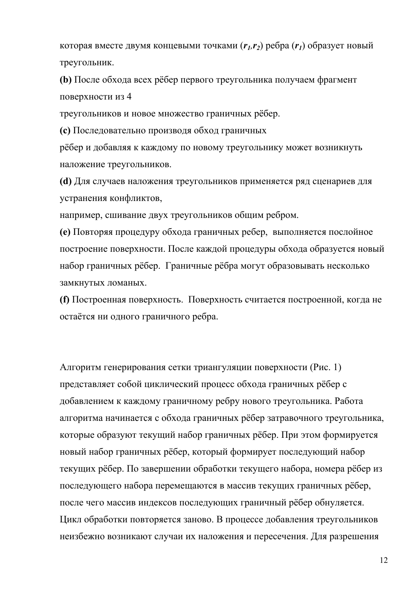которая вместе двумя концевыми точками  $(r_1, r_2)$  ребра  $(r_1)$  образует новый треугольник.

**(b)** После обхода всех рёбер первого треугольника получаем фрагмент поверхности из 4

треугольников и новое множество граничных рёбер.

**(c)** Последовательно производя обход граничных

рёбер и добавляя к каждому по новому треугольнику может возникнуть наложение треугольников.

**(d)** Для случаев наложения треугольников применяется ряд сценариев для устранения конфликтов,

например, сшивание двух треугольников общим ребром.

**(e)** Повторяя процедуру обхода граничных ребер, выполняется послойное построение поверхности. После каждой процедуры обхода образуется новый набор граничных рёбер. Граничные рёбра могут образовывать несколько замкнутых ломаных.

**(f)** Построенная поверхность. Поверхность считается построенной, когда не остаётся ни одного граничного ребра.

Алгоритм генерирования сетки триангуляции поверхности (Рис. 1) представляет собой циклический процесс обхода граничных рёбер с добавлением к каждому граничному ребру нового треугольника. Работа алгоритма начинается с обхода граничных рёбер затравочного треугольника, которые образуют текущий набор граничных рёбер. При этом формируется новый набор граничных рёбер, который формирует последующий набор текущих рёбер. По завершении обработки текущего набора, номера рёбер из последующего набора перемещаются в массив текущих граничных рёбер, после чего массив индексов последующих граничный рёбер обнуляется. Цикл обработки повторяется заново. В процессе добавления треугольников неизбежно возникают случаи их наложения и пересечения. Для разрешения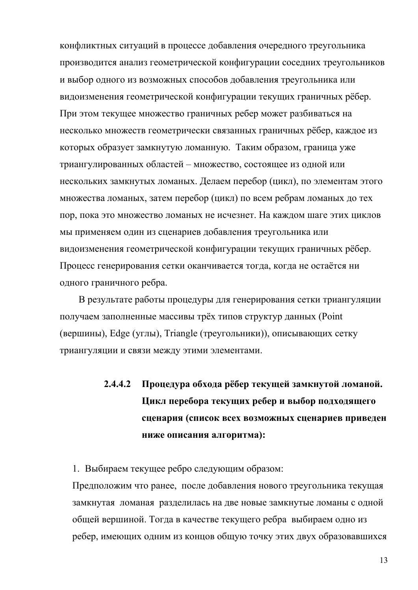конфликтных ситуаций в процессе добавления очередного треугольника производится анализ геометрической конфигурации соседних треугольников и выбор одного из возможных способов добавления треугольника или видоизменения геометрической конфигурации текущих граничных рёбер. При этом текущее множество граничных ребер может разбиваться на несколько множеств геометрически связанных граничных рёбер, каждое из которых образует замкнутую ломанную. Таким образом, граница уже триангулированных областей – множество, состоящее из одной или нескольких замкнутых ломаных. Делаем перебор (цикл), по элементам этого множества ломаных, затем перебор (цикл) по всем ребрам ломаных до тех пор, пока это множество ломаных не исчезнет. На каждом шаге этих циклов мы применяем один из сценариев добавления треугольника или видоизменения геометрической конфигурации текущих граничных рёбер. Процесс генерирования сетки оканчивается тогда, когда не остаётся ни одного граничного ребра.

В результате работы процедуры для генерирования сетки триангуляции получаем заполненные массивы трёх типов структур данных (Point (вершины), Edge (углы), Triangle (треугольники)), описывающих сетку триангуляции и связи между этими элементами.

# **2.4.4.2 Процедура обхода рёбер текущей замкнутой ломаной. Цикл перебора текущих ребер и выбор подходящего сценария (список всех возможных сценариев приведен ниже описания алгоритма):**

1. Выбираем текущее ребро следующим образом:

Предположим что ранее, после добавления нового треугольника текущая замкнутая ломаная разделилась на две новые замкнутые ломаны с одной общей вершиной. Тогда в качестве текущего ребра выбираем одно из ребер, имеющих одним из концов общую точку этих двух образовавшихся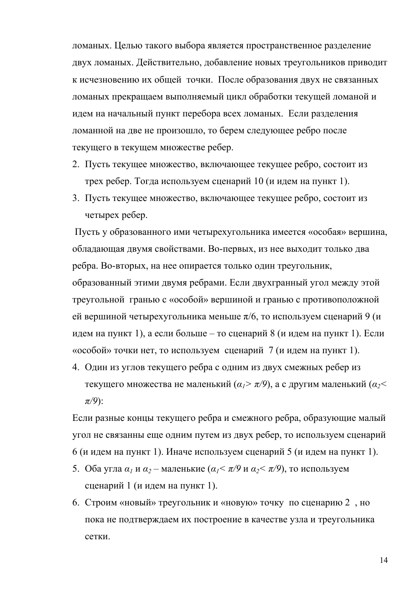ломаных. Целью такого выбора является пространственное разделение двух ломаных. Действительно, добавление новых треугольников приводит к исчезновению их общей точки. После образования двух не связанных ломаных прекращаем выполняемый цикл обработки текущей ломаной и идем на начальный пункт перебора всех ломаных. Если разделения ломанной на две не произошло, то берем следующее ребро после текущего в текущем множестве ребер.

- 2. Пусть текущее множество, включающее текущее ребро, состоит из трех ребер. Тогда используем сценарий 10 (и идем на пункт 1).
- 3. Пусть текущее множество, включающее текущее ребро, состоит из четырех ребер.

Пусть у образованного ими четырехугольника имеется «особая» вершина, обладающая двумя свойствами. Во-первых, из нее выходит только два ребра. Во-вторых, на нее опирается только один треугольник,

образованный этими двумя ребрами. Если двухгранный угол между этой треугольной гранью с «особой» вершиной и гранью с противоположной ей вершиной четырехугольника меньше  $\pi/6$ , то используем сценарий 9 (и идем на пункт 1), а если больше – то сценарий 8 (и идем на пункт 1). Если «особой» точки нет, то используем сценарий 7 (и идем на пункт 1).

4. Один из углов текущего ребра с одним из двух смежных ребер из текущего множества не маленький (*α1> π/9*), а с другим маленький (*α2< π/9*):

Если разные концы текущего ребра и смежного ребра, образующие малый угол не связанны еще одним путем из двух ребер, то используем сценарий 6 (и идем на пункт 1). Иначе используем сценарий 5 (и идем на пункт 1).

- 5. Оба угла  $\alpha_1 \times \alpha_2$  маленькие ( $\alpha_1 < \pi/9$  и  $\alpha_2 < \pi/9$ ), то используем сценарий 1 (и идем на пункт 1).
- 6. Строим «новый» треугольник и «новую» точку по сценарию 2 , но пока не подтверждаем их построение в качестве узла и треугольника сетки.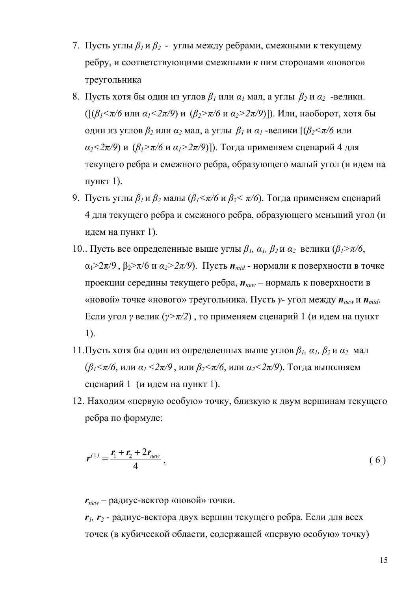- 7. Пусть углы *β<sup>1</sup>* и *β2*  углы между ребрами, смежными к текущему ребру, и соответствующими смежными к ним сторонами «нового» треугольника
- 8. Пусть хотя бы один из углов  $\beta$ <sup>*I*</sup> или  $\alpha$ <sup>*I*</sup> мал, а углы  $\beta$ <sup>2</sup> и  $\alpha$ <sup>2</sup> -велики. ([(*β1<π/6* или *α1<2π/9*) и (*β2>π/6* и *α2>2π/9*)]). Или, наоборот, хотя бы один из углов *β<sup>2</sup>* или *α<sup>2</sup>* мал, а углы *β<sup>1</sup>* и *α1* -велики [(*β2<π/6* или  $\alpha_2$ <2 $\pi$ /9) и ( $\beta_1$ > $\pi$ /6 и  $\alpha_1$ >2 $\pi$ /9)]). Тогда применяем сценарий 4 для текущего ребра и смежного ребра, образующего малый угол (и идем на пункт 1).
- 9. Пусть углы *β<sup>1</sup>* и *β<sup>2</sup>* малы (*β1<π/6* и *β2< π/6*). Тогда применяем сценарий 4 для текущего ребра и смежного ребра, образующего меньший угол (и идем на пункт 1).
- 10.. Пусть все определенные выше углы  $\beta_1$ ,  $\alpha_1$ ,  $\beta_2$ и  $\alpha_2$  велики ( $\beta_1$ > $\pi/6$ , α1>2π/9 , β2>π/6 и *α2>2π/9*). Пусть *nmid* - нормали к поверхности в точке проекции середины текущего ребра, *nnew* – нормаль к поверхности в «новой» точке «нового» треугольника. Пусть *γ*- угол между *nnew* и *nmid*. Если угол *γ* велик (*γ>π/2*) , то применяем сценарий 1 (и идем на пункт 1).
- 11. Пусть хотя бы один из определенных выше углов  $\beta_1$ ,  $\alpha_1$ ,  $\beta_2$  и  $\alpha_2$  мал (*β1<π/6*, или *α1 <2π/9* , или *β2<π/6*, или *α2<2π/9*). Тогда выполняем сценарий 1 (и идем на пункт 1).
- 12. Находим «первую особую» точку, близкую к двум вершинам текущего ребра по формуле:

$$
r^{(1)} = \frac{r_1 + r_2 + 2r_{new}}{4},
$$
 (6)

*rnew* – радиус-вектор «новой» точки.

*r1, r2* - радиус-вектора двух вершин текущего ребра. Если для всех точек (в кубической области, содержащей «первую особую» точку)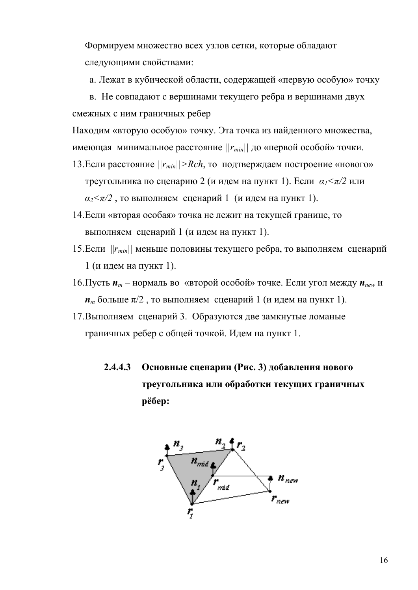Формируем множество всех узлов сетки, которые обладают следующими свойствами:

а. Лежат в кубической области, содержащей «первую особую» точку

в. Не совпадают с вершинами текущего ребра и вершинами двух

смежных с ним граничных ребер

Находим «вторую особую» точку. Эта точка из найденного множества, имеющая минимальное расстояние  $||r_{min}||$  до «первой особой» точки.

- 13. Если расстояние  $||r_{min}|| > Rch$ , то подтверждаем построение «нового» треугольника по сценарию 2 (и идем на пункт 1). Если *α1<π/2* или  $\alpha$ <sup>2</sup> / $\pi$ /2, то выполняем сценарий 1 (и идем на пункт 1).
- 14.Если «вторая особая» точка не лежит на текущей границе, то выполняем сценарий 1 (и идем на пункт 1).
- 15.Если ||*rmin||* меньше половины текущего ребра, то выполняем сценарий 1 (и идем на пункт 1).
- 16. Пусть  $\boldsymbol{n}_m$  нормаль во «второй особой» точке. Если угол между  $\boldsymbol{n}_{new}$  и  $n_m$  больше  $\pi/2$ , то выполняем сценарий 1 (и идем на пункт 1).
- 17.Выполняем сценарий 3. Образуются две замкнутые ломаные граничных ребер с общей точкой. Идем на пункт 1.
	- **2.4.4.3 Основные сценарии (Рис. 3) добавления нового треугольника или обработки текущих граничных рёбер:**

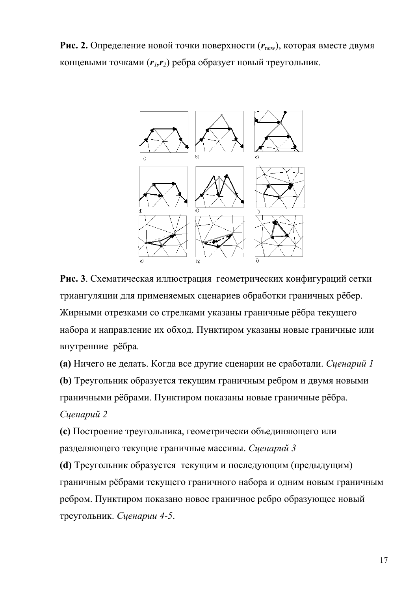**Рис. 2.** Определение новой точки поверхности ( $r_{\text{new}}$ ), которая вместе двумя концевыми точками (*r1,r2*) ребра образует новый треугольник.



**Рис. 3**. Схематическая иллюстрация геометрических конфигураций сетки триангуляции для применяемых сценариев обработки граничных рёбер. Жирными отрезками со стрелками указаны граничные рёбра текущего набора и направление их обход. Пунктиром указаны новые граничные или внутренние рёбра*.*

**(a)** Ничего не делать. Когда все другие сценарии не сработали. *Сценарий 1* **(b)** Треугольник образуется текущим граничным ребром и двумя новыми граничными рёбрами. Пунктиром показаны новые граничные рёбра.

### *Сценарий 2*

**(c)** Построение треугольника, геометрически объединяющего или разделяющего текущие граничные массивы. *Сценарий 3*

**(d)** Треугольник образуется текущим и последующим (предыдущим) граничным рёбрами текущего граничного набора и одним новым граничным ребром. Пунктиром показано новое граничное ребро образующее новый треугольник. *Сценарии 4-5*.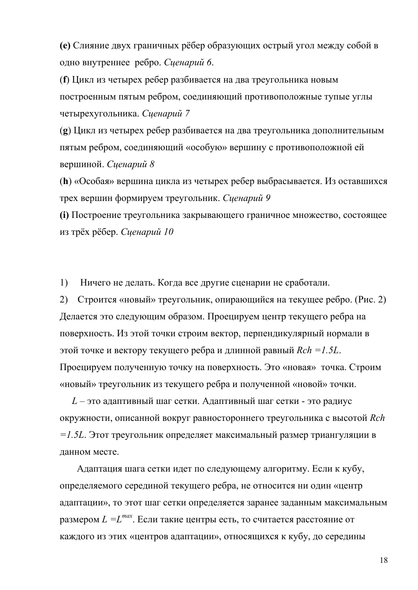**(e)** Слияние двух граничных рёбер образующих острый угол между собой в одно внутреннее ребро. *Сценарий 6*.

(**f**) Цикл из четырех ребер разбивается на два треугольника новым построенным пятым ребром, соединяющий противоположные тупые углы четырехугольника. *Сценарий 7* 

(**g**) Цикл из четырех ребер разбивается на два треугольника дополнительным пятым ребром, соединяющий «особую» вершину с противоположной ей вершиной. *Сценарий 8*

(**h**) «Особая» вершина цикла из четырех ребер выбрасывается. Из оставшихся трех вершин формируем треугольник. *Сценарий 9*

**(i)** Построение треугольника закрывающего граничное множество, состоящее из трёх рёбер. *Сценарий 10*

1) Ничего не делать. Когда все другие сценарии не сработали.

2) Строится «новый» треугольник, опирающийся на текущее ребро. (Рис. 2) Делается это следующим образом. Проецируем центр текущего ребра на поверхность. Из этой точки строим вектор, перпендикулярный нормали в этой точке и вектору текущего ребра и длинной равный *Rch =1.5L*. Проецируем полученную точку на поверхность. Это «новая» точка. Строим «новый» треугольник из текущего ребра и полученной «новой» точки.

 *L* – это адаптивный шаг сетки. Адаптивный шаг сетки - это радиус окружности, описанной вокруг равностороннего треугольника с высотой *Rch =1.5L*. Этот треугольник определяет максимальный размер триангуляции в данном месте.

 Адаптация шага сетки идет по следующему алгоритму. Если к кубу, определяемого серединой текущего ребра, не относится ни один «центр адаптации», то этот шаг сетки определяется заранее заданным максимальным размером *L =Lmax*. Если такие центры есть, то считается расстояние от каждого из этих «центров адаптации», относящихся к кубу, до середины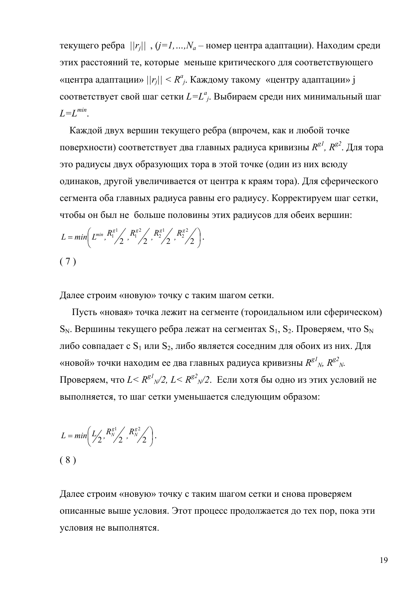текущего ребра *||rj||* , (*j=1,…,Na* – номер центра адаптации). Находим среди этих расстояний те, которые меньше критического для соответствующего «центра адаптации»  $||r_j|| < R^a_j$ . Каждому такому «центру адаптации» ј соответствует свой шаг сетки *L=L<sup>а</sup> <sup>j</sup>*. Выбираем среди них минимальный шаг *L=Lmin*.

 Каждой двух вершин текущего ребра (впрочем, как и любой точке поверхности) соответствует два главных радиуса кривизны  $R^{g1}$ ,  $R^{g2}$ . Для тора это радиусы двух образующих тора в этой точке (один из них всюду одинаков, другой увеличивается от центра к краям тора). Для сферического сегмента оба главных радиуса равны его радиусу. Корректируем шаг сетки, чтобы он был не больше половины этих радиусов для обеих вершин:

$$
L = min\left(L^{min}, \frac{R_1^{g1}}{2}, \frac{R_1^{g2}}{2}, \frac{R_2^{g1}}{2}, \frac{R_2^{g2}}{2}\right).
$$
  
(7)

Далее строим «новую» точку с таким шагом сетки.

 Пусть «новая» точка лежит на сегменте (тороидальном или сферическом)  $S_N$ . Вершины текущего ребра лежат на сегментах  $S_1$ ,  $S_2$ . Проверяем, что  $S_N$ либо совпадает с  $S_1$  или  $S_2$ , либо является соседним для обоих из них. Для «новой» точки находим ее два главных радиуса кривизны  $R^{\rm g}{}^{l}{}_{N\!\!,\,}$   $R^{\rm g}{}^{2}{}_{N\!\!,\,}$ Проверяем, что  $L$ <  ${R^{g}}^1_{N}$ /2,  $L$ <  ${R^{g}}^2_{N}$ /2. Если хотя бы одно из этих условий не выполняется, то шаг сетки уменьшается следующим образом:

$$
L = min\left(L\left(\frac{R_N^{g1}}{2}, \frac{R_N^{g2}}{2}\right), R_N^{g2}\right).
$$
\n(8)

Далее строим «новую» точку с таким шагом сетки и снова проверяем описанные выше условия. Этот процесс продолжается до тех пор, пока эти условия не выполнятся.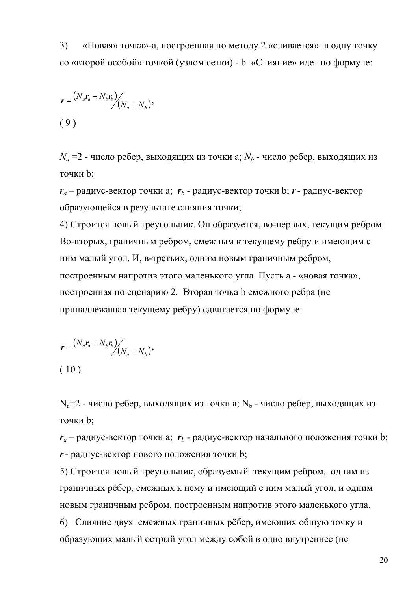3) «Новая» точка»-а, построенная по методу 2 «сливается» в одну точку со «второй особой» точкой (узлом сетки) - b. «Слияние» идет по формуле:

$$
r = \frac{(N_a r_a + N_b r_b)}{(N_a + N_b)},
$$
\n(9)

 $N_a$  =2 - число ребер, выходящих из точки а;  $N_b$  - число ребер, выходящих из точки b;

 $r_a$  – радиус-вектор точки а;  $r_b$  - радиус-вектор точки b;  $r$  - радиус-вектор образующейся в результате слияния точки;

4) Строится новый треугольник. Он образуется, во-первых, текущим ребром. Во-вторых, граничным ребром, смежным к текущему ребру и имеющим с ним малый угол. И, в-третьих, одним новым граничным ребром, построенным напротив этого маленького угла. Пусть а - «новая точка», построенная по сценарию 2. Вторая точка b смежного ребра (не принадлежащая текущему ребру) сдвигается по формуле:

$$
\mathbf{r} = \frac{(N_a \mathbf{r}_a + N_b \mathbf{r}_b)}{(N_a + N_b)},
$$
\n(10)

 $N_a=2$  - число ребер, выходящих из точки а;  $N_b$  - число ребер, выходящих из точки b;

 $r_a$  – радиус-вектор точки а;  $r_b$  - радиус-вектор начального положения точки b; *r*- радиус-вектор нового положения точки b;

5) Строится новый треугольник, образуемый текущим ребром, одним из граничных рёбер, смежных к нему и имеющий с ним малый угол, и одним новым граничным ребром, построенным напротив этого маленького угла.

6) Слияние двух смежных граничных рёбер, имеющих общую точку и образующих малый острый угол между собой в одно внутреннее (не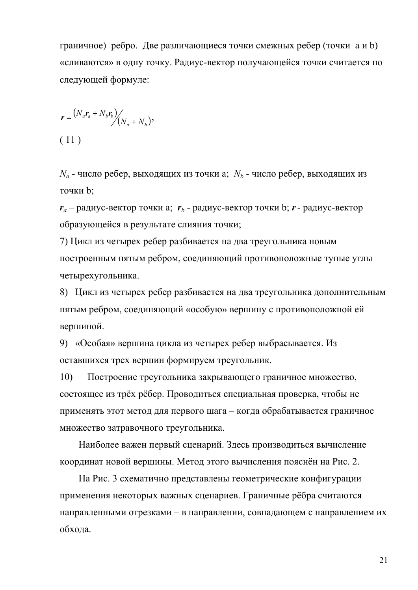граничное) ребро. Две различающиеся точки смежных ребер (точки а и b) «сливаются» в одну точку. Радиус-вектор получающейся точки считается по следующей формуле:

$$
r = \frac{(N_a r_a + N_b r_b)}{(N_a + N_b)},
$$
\n(11)

 $N_a$  - число ребер, выходящих из точки а;  $N_b$  - число ребер, выходящих из точки b;

 $r_a$  – радиус-вектор точки a;  $r_b$  - радиус-вектор точки b;  $r$  - радиус-вектор образующейся в результате слияния точки;

7) Цикл из четырех ребер разбивается на два треугольника новым построенным пятым ребром, соединяющий противоположные тупые углы четырехугольника.

8) Цикл из четырех ребер разбивается на два треугольника дополнительным пятым ребром, соединяющий «особую» вершину с противоположной ей вершиной.

9) «Особая» вершина цикла из четырех ребер выбрасывается. Из оставшихся трех вершин формируем треугольник.

10) Построение треугольника закрывающего граничное множество, состоящее из трёх рёбер. Проводиться специальная проверка, чтобы не применять этот метод для первого шага – когда обрабатывается граничное множество затравочного треугольника.

Наиболее важен первый сценарий. Здесь производиться вычисление координат новой вершины. Метод этого вычисления пояснён на Рис. 2.

На Рис. 3 схематично представлены геометрические конфигурации применения некоторых важных сценариев. Граничные рёбра считаются направленными отрезками – в направлении, совпадающем с направлением их обхода.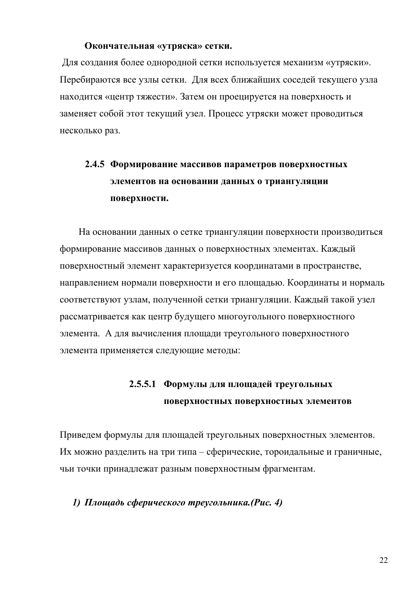#### **Окончательная «утряска» сетки.**

Для создания более однородной сетки используется механизм «утряски». Перебираются все узлы сетки. Для всех ближайших соседей текущего узла находится «центр тяжести». Затем он проецируется на поверхность и заменяет собой этот текущий узел. Процесс утряски может проводиться несколько раз.

# **2.4.5 Формирование массивов параметров поверхностных элементов на основании данных о триангуляции поверхности.**

На основании данных о сетке триангуляции поверхности производиться формирование массивов данных о поверхностных элементах. Каждый поверхностный элемент характеризуется координатами в пространстве, направлением нормали поверхности и его площадью. Координаты и нормаль соответствуют узлам, полученной сетки триангуляции. Каждый такой узел рассматривается как центр будущего многоугольного поверхностного элемента. А для вычисления площади треугольного поверхностного элемента применяется следующие методы:

## **2.5.5.1 Формулы для площадей треугольных поверхностных поверхностных элементов**

Приведем формулы для площадей треугольных поверхностных элементов. Их можно разделить на три типа – сферические, тороидальные и граничные, чьи точки принадлежат разным поверхностным фрагментам.

#### *1) Площадь сферического треугольника.(Рис. 4)*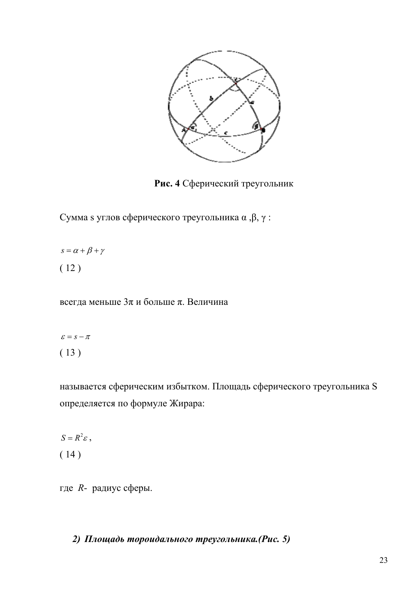

**Рис. 4** Сферический треугольник

Сумма s углов сферического треугольника α ,β, γ :

 $s = \alpha + \beta + \gamma$ ( 12 )

всегда меньше 3π и больше π. Величина

$$
\varepsilon = s - \pi
$$
  
(13)

называется сферическим избытком. Площадь сферического треугольника S определяется по формуле Жирара:

 $S = R^2 \varepsilon$ , ( 14 )

где *R*- радиус сферы.

*2) Площадь тороидального треугольника.(Рис. 5)*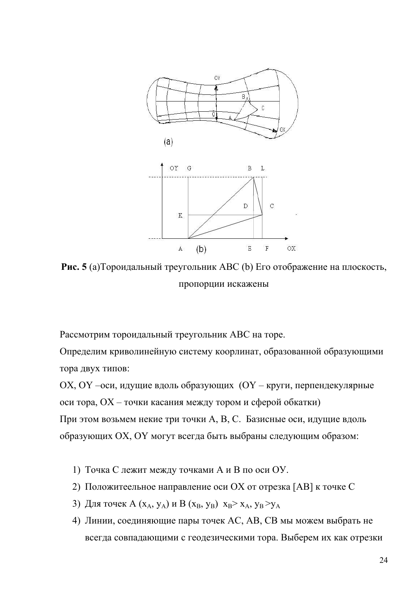

**Рис. 5** (a)Тороидальный треугольник ABC (b) Его отображение на плоскость, пропорции искажены

Рассмотрим тороидальный треугольник АВС на торе.

Определим криволинейную систему коорлинат, образованной образующими тора двух типов:

ОХ, ОY –оси, идущие вдоль образующих (ОY – круги, перпендекулярные оси тора, ОХ – точки касания между тором и сферой обкатки) При этом возьмем некие три точки А, В, С. Базисные оси, идущие вдоль образующих ОХ, ОY могут всегда быть выбраны следующим образом:

- 1) Точка С лежит между точками А и В по оси ОУ.
- 2) Положитеельное направление оси ОХ от отрезка [AB] к точке С
- 3) Для точек А (х<sub>А</sub>, у<sub>А</sub>) и В (х<sub>В</sub>, у<sub>В</sub>) х<sub>В</sub>> х<sub>А</sub>, у<sub>В</sub>> у<sub>А</sub>
- 4) Линии, соединяющие пары точек АС, АВ, СВ мы можем выбрать не всегда совпадающими с геодезическими тора. Выберем их как отрезки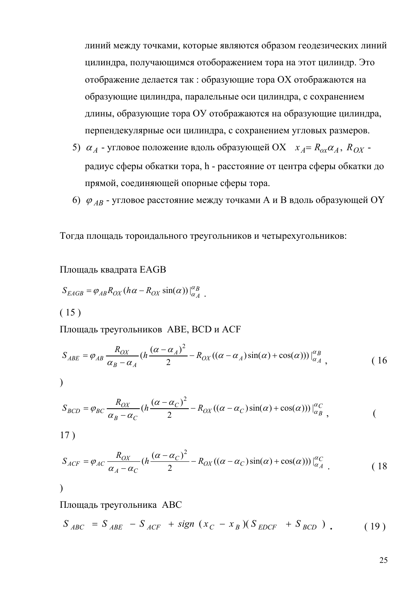линий между точками, которые являются образом геодезических линий цилиндра, получающимся отоборажением тора на этот цилиндр. Это отображение делается так : образующие тора ОХ отображаются на образующие цилиндра, паралельные оси цилиндра, с сохранением длины, образующие тора ОУ отображаются на образующие цилиндра, перпендекулярные оси цилиндра, с сохранением угловых размеров.

- 5)  $\alpha_A$  угловое положение вдоль образующей ОХ  $x_A = R_{ox} \alpha_A$ ,  $R_{OX}$  радиус сферы обкатки тора, h - расстояние от центра сферы обкатки до прямой, соединяющей опорные сферы тора.
- 6) <sup>ϕ</sup> *AB* угловое расстояние между точками А и В вдоль образующей OY

Тогда площадь тороидального треугольников и четырехугольников:

Площадь квадрата EAGB

$$
S_{EAGB} = \varphi_{AB} R_{OX} (h\alpha - R_{OX} \sin(\alpha))|_{\alpha_A}^{\alpha_B}.
$$

 $(15)$ 

Площадь треугольников ABE, BCD и ACF

$$
S_{ABE} = \varphi_{AB} \frac{R_{OX}}{\alpha_B - \alpha_A} (h \frac{(\alpha - \alpha_A)^2}{2} - R_{OX}((\alpha - \alpha_A)\sin(\alpha) + \cos(\alpha)))\Big|_{\alpha_A}^{\alpha_B},
$$
 (16)

$$
\big)\\
$$

$$
S_{BCD} = \varphi_{BC} \frac{R_{OX}}{\alpha_B - \alpha_C} (h \frac{(\alpha - \alpha_C)^2}{2} - R_{OX}((\alpha - \alpha_C)\sin(\alpha) + \cos(\alpha)))\Big|_{\alpha_B}^{\alpha_C},
$$
 (

17 )

$$
S_{ACF} = \varphi_{AC} \frac{R_{OX}}{\alpha_A - \alpha_C} (h \frac{(\alpha - \alpha_C)^2}{2} - R_{OX}((\alpha - \alpha_C)\sin(\alpha) + \cos(\alpha)))\Big|_{\alpha_A}^{\alpha_C}
$$
 (18)

$$
\big) \,
$$

Площадь треугольника ABC

$$
S_{ABC} = S_{ABE} - S_{ACF} + sign (x_C - x_B)(S_{EDCF} + S_{BCD})
$$
 (19)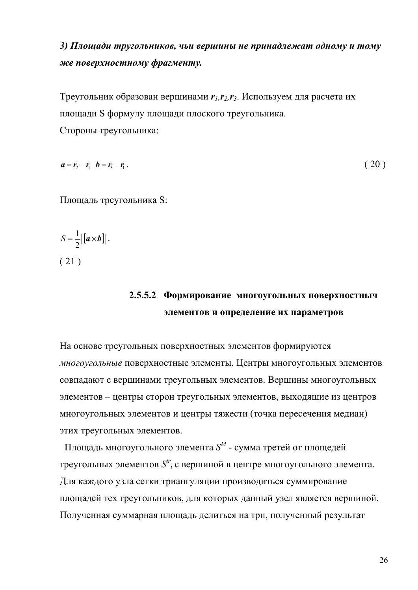### *3) Площади тругольников, чьи вершины не принадлежат одному и тому же поверхностному фрагменту.*

Треугольник образован вершинами *r1,r2,r3*. Используем для расчета их площади S формулу площади плоского треугольника. Стороны треугольника:

 $a = r_2 - r_1$   $b = r_2 - r_1$ . (20)

Площадь треугольника S:

$$
S = \frac{1}{2} |[a \times b]|.
$$
\n(21)

### **2.5.5.2 Формирование многоугольных поверхностныч элементов и определение их параметров**

На основе треугольных поверхностных элементов формируются *многоугольные* поверхностные элементы. Центры многоугольных элементов совпадают с вершинами треугольных элементов. Вершины многоугольных элементов – центры сторон треугольных элементов, выходящие из центров многоугольных элементов и центры тяжести (точка пересечения медиан) этих треугольных элементов.

 Площадь многоугольного элемента *S<sup>M</sup>* - сумма третей от площедей треугольных элементов *Str <sup>i</sup>* с вершиной в центре многоугольного элемента. Для каждого узла сетки триангуляции производиться суммирование площадей тех треугольников, для которых данный узел является вершиной. Полученная суммарная площадь делиться на три, полученный результат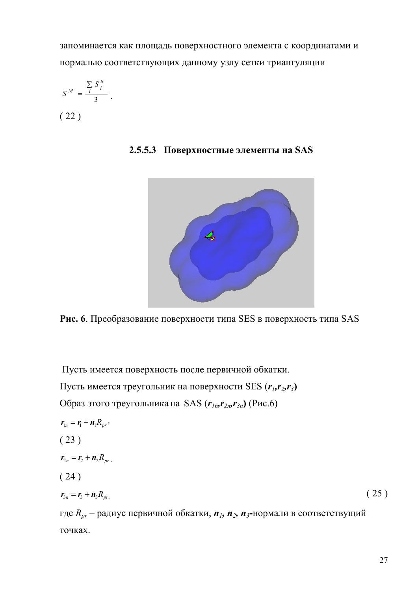запоминается как площадь поверхностного элемента с координатами и нормалью соответствующих данному узлу сетки триангуляции

$$
S^M = \frac{\sum_{i} S_i^{\,tr}}{3}.
$$
  
(22)

**2.5.5.3 Поверхностные элементы на SAS** 



**Рис. 6**. Преобразование поверхности типа SES в поверхность типа SAS

Пусть имеется поверхность после первичной обкатки.

Пусть имеется треугольник на поверхности SES (*r1,r2,r3***)** 

Образ этого треугольника на SAS  $(r_{1n}r_{2n}r_{3n})$  (Рис.6)

$$
r_{1n} = r_1 + n_1 R_{pr},
$$
  
\n(23)  
\n
$$
r_{2n} = r_2 + n_2 R_{pr},
$$
  
\n(24)  
\n
$$
r_{3n} = r_3 + n_3 R_{pr},
$$
  
\n(25)

где *Rpr* – радиус первичной обкатки, *n1, n2, n3***-**нормали в соответствущий точках.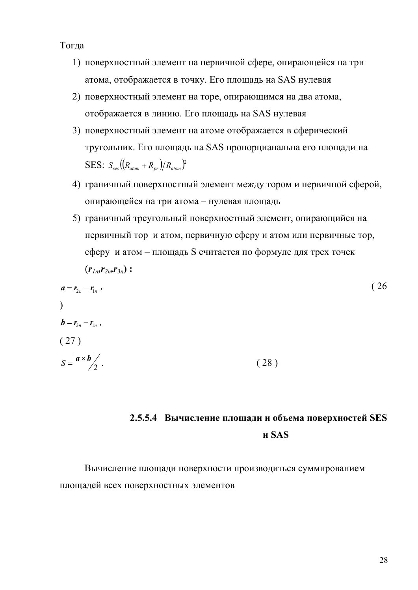Тогда

- 1) поверхностный элемент на первичной сфере, опирающейся на три атома, отображается в точку. Его площадь на SАS нулевая
- 2) поверхностный элемент на торе, опирающимся на два атома, отображается в линию. Его площадь на SАS нулевая
- 3) поверхностный элемент на атоме отображается в сферический тругольник. Его площадь на SАS пропорцианальна его площади на SES:  $S_{ses}((R_{atom}+R_{pr})/R_{atom})^2$
- 4) граничный поверхностный элемент между тором и первичной сферой, опирающейся на три атома – нулевая площадь
- 5) граничный треугольный поверхностный элемент, опирающийся на первичный тор и атом, первичную сферу и атом или первичные тор, сферу и атом – площадь S считается по формуле для трех точек  $(r_{ln}, r_{2n}, r_{3n})$ :

$$
a = r_{2n} - r_{1n} \tag{26}
$$
  
\n
$$
b = r_{3n} - r_{1n} \tag{27}
$$
  
\n
$$
S = \frac{|a \times b|}{2} \tag{28}
$$

### **2.5.5.4 Вычисление площади и объема поверхностей SES и SAS**

Вычисление площади поверхности производиться суммированием площадей всех поверхностных элементов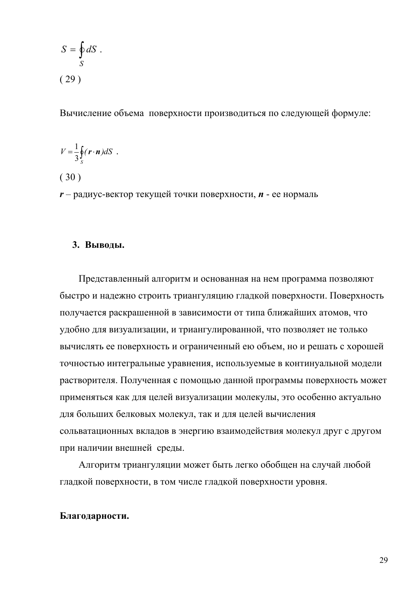$$
S = \oint_{S} dS .
$$
  
(29)

Вычисление объема поверхности производиться по следующей формуле:

$$
V = \frac{1}{3} \oint_{S} (\mathbf{r} \cdot \mathbf{n}) dS .
$$

( 30 )

*r* – радиус-вектор текущей точки поверхности, *n* - ее нормаль

#### **3. Выводы.**

Представленный алгоритм и основанная на нем программа позволяют быстро и надежно строить триангуляцию гладкой поверхности. Поверхность получается раскрашенной в зависимости от типа ближайших атомов, что удобно для визуализации, и триангулированной, что позволяет не только вычислять ее поверхность и ограниченный ею объем, но и решать с хорошей точностью интегральные уравнения, используемые в континуальной модели растворителя. Полученная с помощью данной программы поверхность может применяться как для целей визуализации молекулы, это особенно актуально для больших белковых молекул, так и для целей вычисления сольватационных вкладов в энергию взаимодействия молекул друг с другом при наличии внешней среды.

Алгоритм триангуляции может быть легко обобщен на случай любой гладкой поверхности, в том числе гладкой поверхности уровня.

#### **Благодарности.**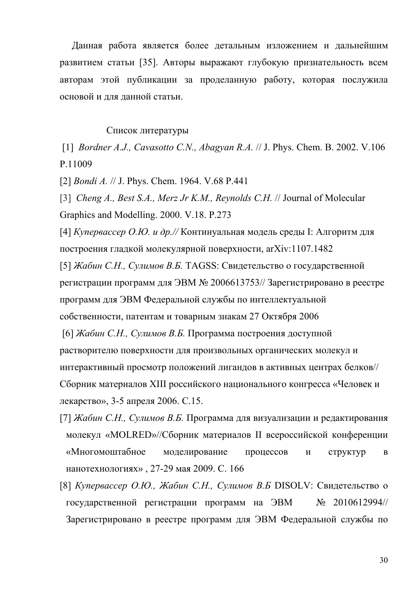Данная работа является более детальным изложением и дальнейшим развитием статьи [35]. Авторы выражают глубокую признательность всем авторам этой публикации за проделанную работу, которая послужила основой и для данной статьи.

#### Список литературы

 [1] *Bordner A.J., Cavasotto C.N., Abagyan R.A.* // J. Phys. Chem. B. 2002. V.106 P.11009

[2] *Bondi A.* // J. Phys. Chem. 1964. V.68 P.441

[3] *Cheng A., Best S.A., Merz Jr K.M., Reynolds C.H.* // Journal of Molecular Graphics and Modelling. 2000. V.18. P.273

[4] *Купервассер О.Ю. и др.//* Континуальная модель среды I: Алгоритм для построения гладкой молекулярной поверхности, arXiv:1107.1482

[5] *Жабин С.Н., Сулимов В.Б.* TAGSS: Свидетельство о государственной регистрации программ для ЭВМ № 2006613753// Зарегистрировано в реестре программ для ЭВМ Федеральной службы по интеллектуальной собственности, патентам и товарным знакам 27 Октября 2006

 [6] *Жабин С.Н., Сулимов В.Б.* Программа построения доступной растворителю поверхности для произвольных органических молекул и интерактивный просмотр положений лигандов в активных центрах белков// Сборник материалов XIII российского национального конгресса «Человек и лекарство», 3-5 апреля 2006. C.15.

- [7] *Жабин С.Н., Сулимов В.Б.* Программа для визуализации и редактирования молекул «MOLRED»//Сборник материалов II всероссийской конференции «Многомоштабное моделирование процессов и структур в нанотехнологиях» , 27-29 мая 2009. C. 166
- [8] *Купервассер О.Ю., Жабин С.Н., Сулимов В.Б* DISOLV: Свидетельство о государственной регистрации программ на ЭВМ № 2010612994// Зарегистрировано в реестре программ для ЭВМ Федеральной службы по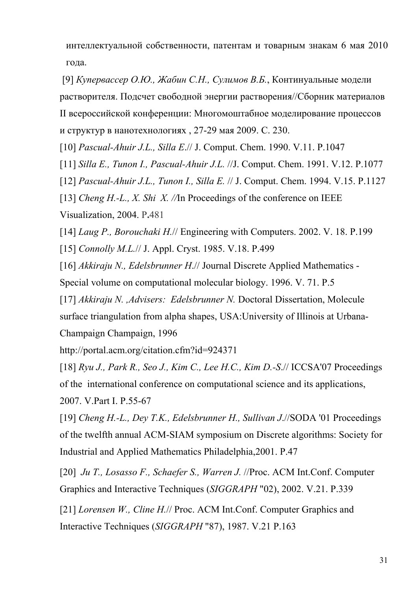интеллектуальной собственности, патентам и товарным знакам 6 мая 2010 года.

 [9] *Купервассер О.Ю., Жабин С.Н., Сулимов В.Б.*, Континуальные модели растворителя. Подсчет свободной энергии растворения//Сборник материалов II всероссийской конференции: Многомоштабное моделирование процессов и структур в нанотехнологиях , 27-29 мая 2009. C. 230.

[10] *Pascual-Ahuir J.L., Silla E*.// J. Comput. Chem. 1990. V.11. P.1047

[11] *Silla E., Tunon I., Pascual-Ahuir J.L.* //J. Comput. Chem. 1991. V.12. P.1077

[12] *Pascual-Ahuir J.L., Tunon I., Silla E.* // J. Comput. Chem. 1994. V.15. P.1127

[13] *Cheng H.-L., X. Shi X.* //In Proceedings of the conference on IEEE

Visualization, 2004. P**.**481

[14] *Laug P., Borouchaki H.*// Engineering with Computers. 2002. V. 18. P.199

[15] *Connolly M.L.*// J. Appl. Cryst. 1985. V.18. P.499

[16] *Akkiraju N., Edelsbrunner H*.// Journal Discrete Applied Mathematics - Special volume on computational molecular biology. 1996. V. 71. P.5

[17] *Akkiraju N. ,Advisers: Edelsbrunner N.* Doctoral Dissertation, Molecule surface triangulation from alpha shapes, USA:University of Illinois at Urbana-Champaign Champaign, 1996

http://portal.acm.org/citation.cfm?id=924371

[18] *Ryu J., Park R., Seo J., Kim C., Lee H.C., Kim D.-S*.// ICCSA'07 Proceedings of the international conference on computational science and its applications, 2007. V.Part I. P.55-67

[19] *Cheng H.-L., Dey T.K., Edelsbrunner H., Sullivan J*.//SODA '01 Proceedings of the twelfth annual ACM-SIAM symposium on Discrete algorithms: Society for Industrial and Applied Mathematics Philadelphia,2001. P.47

[20] *Ju T., Losasso F., Schaefer S., Warren J.* //Proc. ACM Int.Conf. Computer Graphics and Interactive Techniques (*SIGGRAPH* "02), 2002. V.21. P.339

[21] *Lorensen W., Cline H.// Proc. ACM Int.Conf. Computer Graphics and* Interactive Techniques (*SIGGRAPH* "87), 1987. V.21 P.163